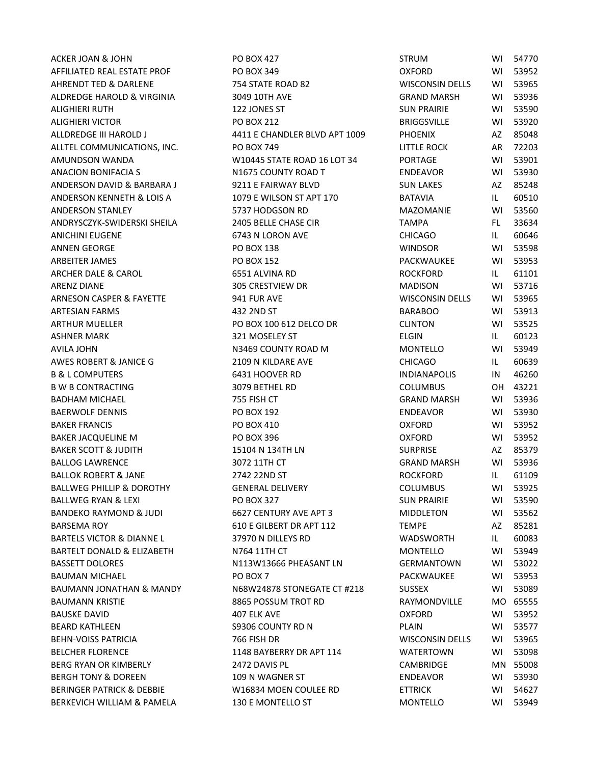AFFILIATED REAL ESTATE PROF THE PO BOX 349 COXFORD OXFORD WI 53952 AHRENDT TED & DARLENE THE 754 STATE ROAD 82 THE ROAD STATE ROAD 80 WISCONSIN DELLS WI 53965 ALDREDGE HAROLD & VIRGINIA 3049 10TH AVE GRAND MARSH WI 53936 ALIGHIERI RUTH 122 JONES ST SUN PRAIRIE WI 53590 ALIGHIERI VICTOR PO BOX 212 BRIGGSVILLE WI 53920 ALLDREDGE III HAROLD J 4411 E CHANDLER BLVD APT 1009 PHOENIX AZ 85048 ALLTEL COMMUNICATIONS, INC.  $PQ$  BOX 749 DETTLE ROCK AR 72203 AMUNDSON WANDA W10445 STATE ROAD 16 LOT 34 PORTAGE WI 53901 ANACION BONIFACIA S N1675 COUNTY ROAD T ENDEAVOR WI 53930 ANDERSON DAVID & BARBARA J 9211 E FAIRWAY BLVD SUN LAKES AZ 85248 ANDERSON KENNETH & LOIS A 1079 E WILSON ST APT 170 BATAVIA BATAVIA BATAVIA ANDERSON STANLEY 5737 HODGSON RD MAZOMANIE WI 53560 ANDRYSCZYK-SWIDERSKI SHEILA 2405 BELLE CHASE CIR TAMPA FL 33634 ANICHINI EUGENE 6743 N LORON AVE CHICAGO IL 60646 ANNEN GEORGE PO BOX 138 WINDSOR WI 53598 ARBEITER JAMES PO BOX 152 PACKWAUKEE WI 53953 ARCHER DALE & CAROL **CAROL CONSTRUITED ALL CONTROL** 6551 ALVINA RD **ROCKFORD** IL 61101 ARENZ DIANE 305 CRESTVIEW DR MADISON WI 53716 ARNESON CASPER & FAYETTE 4 941 FUR AVE WISCONSIN DELLS WI 53965 ARTESIAN FARMS 432 2ND ST BARABOO WI 53913 ARTHUR MUELLER 
end to the BOX 100 612 DELCO DR

PO BOX 100 612 DELCO DR

PO BOX 100 612 DELCO DR

ARTHUR MUELLER ASHNER MARK 321 MOSELEY ST ELGIN IL 60123 AVILA JOHN N3469 COUNTY ROAD M MONTELLO WI 53949 AWES ROBERT & JANICE G 2109 N KILDARE AVE CHICAGO IL 60639 B & L COMPUTERS **6431 HOOVER RD** INDIANAPOLIS IN 46260 B W B CONTRACTING 3079 BETHEL RD COLUMBUS OH 43221 BADHAM MICHAEL 755 FISH CT GRAND MARSH WI 53936 BAERWOLF DENNIS PO BOX 192 ENDEAVOR WI 53930 BAKER FRANCIS PO BOX 410 OXFORD WI 53952 BAKER JACQUELINE M PO BOX 396 OXFORD WI 53952 BAKER SCOTT & JUDITH THE RESERVE TO A 15104 N 134TH LN SURPRISE THE SURPRISE AZ 85379 BALLOG LAWRENCE 3072 11TH CT GRAND MARSH WI 53936 BALLOK ROBERT & JANE 2742 22ND ST ROCKFORD IL 61109 BALLWEG PHILLIP & DOROTHY **GENERAL DELIVERY** THE COLUMBUS WI 53925 BALLWEG RYAN & LEXI **EXIMITY OF A CONTROL BOOK 327** SUN PRAIRIE WI 53590 BANDEKO RAYMOND & JUDI 6627 CENTURY AVE APT 3 MIDDLETON WI 53562 BARSEMA ROY **610 E GILBERT DR APT 112** TEMPE AZ 85281 BARTELS VICTOR & DIANNE L 37970 N DILLEYS RD WADSWORTH IL 60083 BARTELT DONALD & ELIZABETH N764 11TH CT NONTELLO WILL 53949 BASSETT DOLORES 
BASSETT DOLORES

NET A NOTE AND HEASANT LN

NET A GERMANTOWN

WI 53022

NET A GERMANTOWN

BASSETT DOLORES BAUMAN MICHAEL PO BOX 7 PACKWAUKEE WI 53953 BAUMANN JONATHAN & MANDY N68W24878 STONEGATE CT #218 SUSSEX WI 53089 BAUMANN KRISTIE KRIT BOOSS POSSUM TROT RD AND RAYMONDVILLE MO 65555 BAUSKE DAVID 407 ELK AVE OXFORD WI 53952 BEARD KATHLEEN GEARD S9306 COUNTY RD N GEARD MATHLEEN WI 53577 BEHN-VOISS PATRICIA 766 FISH DR WISCONSIN DELLS WI 53965 BELCHER FLORENCE 1148 BAYBERRY DR APT 114 WATERTOWN WI 53098 BERG RYAN OR KIMBERLY 2472 DAVIS PL CAMBRIDGE MN 55008 BERGH TONY & DOREEN 109 N WAGNER ST ENDEAVOR WI 53930 BERINGER PATRICK & DEBBIE THE WIGS34 MOEN COULEE RD TETTRICK THE STATE WITH SAME TO ME STATE RESERVE THE STATE BERKEVICH WILLIAM & PAMELA 130 E MONTELLO ST MONTELLO WI 53949

ACKER JOAN & JOHN **PO BOX 427** PO BOX 427 STRUM STRUM WI 54770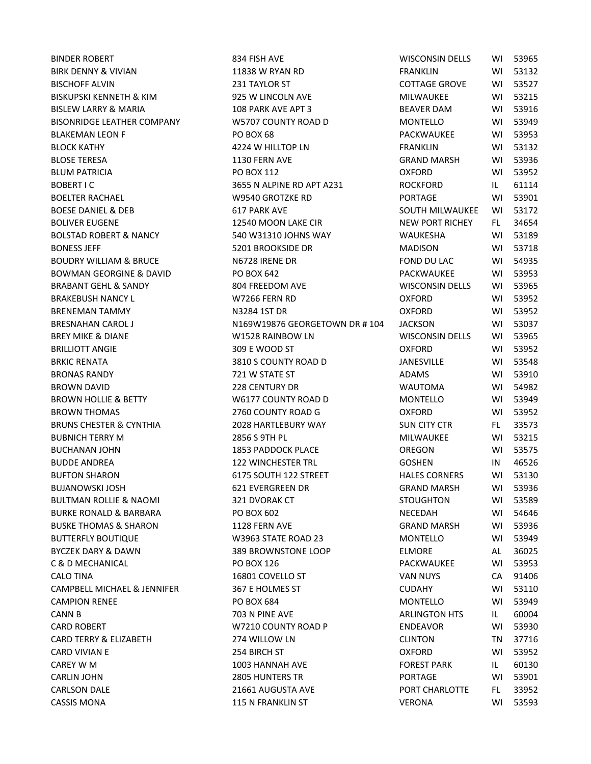BINDER ROBERT 834 FISH AVE WISCONSIN DELL'S WISCONSIN DELL'S WISCONSIN DELL'S WISCONSIN DELL'S WISCONSIN DELL BIRK DENNY & VIVIAN FRANKLIN 11838 W RYAN RD FRANKLIN WI 531323 W RYAN RD BISCHOFF ALVIN 231 TAYLOR ST COTTAGE GROVE WI 53527 BISKUPSKI KENNETH & KIM 925 W LINCOLN AVE BISLEW LARRY & MARIA 108 PARK AVE APT 3 BISONRIDGE LEATHER COMPANY W5707 COUNTY ROAD D BLAKEMAN LEON F PO BOX 68 PACKWAUKEE WITH SAFEKWAUKEE WITH SAFEKWAUKEE WITH SAFEKWAUKEE WITH SAFEKWAUKEE WITH SAFEKWAUKEE WITH SAFEKWAUKEE WITH SAFEKWAUKEE WITH SAFEKWAUKEE WITH SAFEKWAUKEE WITH SAFEKWAUKEE WITH SAFEKWAUKE BLOCK KATHY **63224 W HILLTOP LN** BLOSE TERESA 1130 FERN AVE GRAND GRAND GRAND GRAND GRAND GRAND GRAND MARSH WITH STREET AND GRAND GRAND GRAND G BOBERT I C GOBERT I CONTROLLED A SHOP SHOPS A SHOP IN A SHOP IN A SHOP IN A SHOP IN A SHOP IN A SHOP IN A SHOP IN A SHOP IN A SHOP IN A SHOP IN A SHOP IN A SHOP IN A SHOP IN A SHOP IN A SHOP IN A SHOP IN A SHOP IN A SHOP I BOELTER RACHAEL FROM THE SERVICE OF MUSS WAS ARRIVED FOR THE RESIDENCE OF THE RESIDENCE OF THE RESIDENCE OF THE STATE OF THE RESIDENCE OF THE RESIDENCE OF THE RESIDENCE OF THE RESIDENCE OF THE RESIDENCE OF THE RESIDENCE OF BOESE DANIEL & DEB 617 PARK AVE SOUTH MILLWAUKE BOLIVER EUGENE NEW RICHEY 12540 MOON LAKE CIR BOLSTAD ROBERT & NANCY 540 W31310 JOHNS WAY WALKER AND A WI 540 WI 540 WI 540 WI 540 WI 54189 WI 541 BONESS JEFF 5201 BROOKSIDE DR MADISON MADE: 1 BOUDRY WILLIAM & BRUCE N6728 IRENE DR FOND DU LAC FOND DU LAC BROUDRY WILLIAM & BRUCE BOWMAN GEORGINE & DAVID PO BOX 642 PACKWAUKEE WITH SALE RESERVED BY 549 FACKWAUKEE WITH SALE RESERVED BY 539533 BRABANT GEHL & SANDY 804 FREEDOM AVE BRAKEBUSH NANCY LETTER WORKER WITH MY 266 FERN RD OXFORD THE CONFORM ON THE CONFORM OF THE CONFORM OF THE CONFORM ON THE CONFORM OF THE CONFORM OF THE CONFORM OF THE CONFORM OF THE CONFORM OF THE CONFORM OF THE CONFORM OF BRENEMAN TAMMY NATURE NATURE NATURE NATURE OF A SERIES OF A SERIES OF A SERIES OF A SERIES OF A SERIES OF A SE BRESNAHAN CAROL J N169W19876 GEORGETOWN DR # 104 J BREY MIKE & DIANE WISZ8 RAINBOW LN BRILLIOTT ANGIE **309 E WOOD ST** OXFORD WI 5309 E WOOD ST BRKIC RENATA 3810 S COUNTY ROAD D JANESVILLE WI 53548 BRONAS RANDY **721 W STATE ST** BROWN DAVID 228 CENTURY DR BROWN HOLLIE & BETTY W6177 COUNTY ROAD D BROWN THOMAS COUNTY ROAD G COUNTY ROAD G BRUNS CHESTER & CYNTHIA  $\overline{a}$  2028 HARTLEBURY WAY SUN CHESTER & CYNTHIA BUBNICH TERRY M 2856 S 9TH PL MILWAUKEE WI 53215 BUCHANAN JOHN 1853 PADDOCK PLACE BUDDE ANDREA 122 WINCHESTER TRL GOSHEN IN 46526 GOSHEN IN 465266 GOSHEN IN 465266 BUFTON SHARON 6175 SOUTH 122 STREET BUJANOWSKI JOSH G21 EVERGREEN DR BULTMAN ROLLIE & NAOMI 321 DVORAK CT STOUGHTON WI 53589 BURKE RONALD & BARBARA PO BOX 602 BUSKE THOMAS & SHARON 1128 FERN AVE GRAND GRAND GRAND GRAND GRAND GRAND GRAND GRAND GRAND GRAND GRAND GRAND GR BUTTERFLY BOUTIQUE **W3963 STATE ROAD 23** BYCZEK DARY & DAWN 389 BROWNSTONE LOOP C & D MECHANICAL **PO BOX 126** PACKWAUKEE WITH 539 SEA PACKWAUKEE WITH 539 SEA PACKWAUKEE PACKWAUKEE WITH 539 SEA CALO TINA 16801 COVELLO ST CAMPBELL MICHAEL & JENNIFER 367 E HOLMES ST 33110 COMPUTER CAMPION RENEE PO BOX 684 CARD ROBERT **ENDER SERVICE SERVICE SERVICE SERVICE SERVICE SERVICE SERVICE SERVICE SERVICE SERVICE SERVICE SERVICE SERVICE SERVICE SERVICE SERVICE SERVICE SERVICE SERVICE SERVICE SERVICE SERVICE SERVICE SERVICE SERVICE SER** CARD TERRY & ELIZABETH 274 WILLOW LN 374 WILLOW LN CAREY W M 1003 HANNAH AVE FOREST PARK ILLES PARK ILLES PARK ILLES PARK ILLES PARK ILLES PARK ILLES PARK ILLES CARLIN JOHN 2805 HUNTERS TR CARLSON DALE **PORT CHARLOTS CARLSON DALE** PORT CHARLOTS PORT CHARLOTS FL 31661 AUGUSTA AVE

BLUM PATRICIA PO BOX 112 OXFORD WI 53952 CANN B 703 N PINE AVE ARLINGTON HTS IL 60004 CARD VIVIAN E 254 BIRCH ST OXFORD WI 53952 CASSIS MONA 2008 2015 115 N FRANKLIN ST

| VISCONSIN DELLS               | WI        | 53965    |
|-------------------------------|-----------|----------|
| <b>RANKLIN</b>                | WI        | 53132    |
| <b>COTTAGE GROVE</b>          | WI        | 53527    |
| MILWAUKEE                     | W١        | 53215    |
| <b>BEAVER DAM</b>             | WI        | 53916    |
| MONTELLO                      | <b>WI</b> | 53949    |
| <b>ACKWAUKEE</b>              | WI        | 53953    |
| RANKLIN                       | WI        | 53132    |
| GRAND MARSH                   | WI        | 53936    |
| )XFORD                        | W١        | 53952    |
| የOCKFORD                      | IL.       | 61114    |
| <b>ORTAGE</b>                 | WI        | 53901    |
| OUTH MILWAUKEE WI 53172       |           |          |
| <b>JEW PORT RICHEY</b>        | FL.       | 34654    |
| NAUKESHA                      | WI        | 53189    |
| <b>AADISON</b>                | WI        | 53718    |
| OND DU LAC                    | WI        | 54935    |
| <b>ACKWAUKEE</b>              | <b>WI</b> | 53953    |
| <b><i>NISCONSIN DELLS</i></b> | WI        | 53965    |
| <b>IXFORD</b>                 | WI        | 53952    |
| )XFORD                        | WI        | 53952    |
| ACKSON                        | W١        | 53037    |
| VISCONSIN DELLS               | WI        | 53965    |
| )XFORD                        | WI        | 53952    |
| ANESVILLE                     | WI        | 53548    |
| <b>NDAMS</b>                  | W١        | 53910    |
| NAUTOMA                       | WI        | 54982    |
| MONTELLO                      | WI        | 53949    |
| )XFORD                        | WI        | 53952    |
| UN CITY CTR                   | FL.       | 33573    |
| <b>MILWAUKEE</b>              | WI        | 53215    |
| <b>DREGON</b>                 | W١        | 53575    |
| GOSHEN                        | IN        | 46526    |
| <b>HALES CORNERS</b>          |           | WI 53130 |
| GRAND MARSH                   | WI        | 53936    |
| <b>TOUGHTON</b>               | WI        | 53589    |
| <b>JECEDAH</b>                | WI        | 54646    |
| GRAND MARSH                   | WI        | 53936    |
| MONTELLO                      | WI        | 53949    |
| <b>LMORE</b>                  | AL        | 36025    |
| <b>ACKWAUKEE</b>              | WI        | 53953    |
| <b>AN NUYS</b>                | CA        | 91406    |
| <b>UDAHY</b>                  | W١        | 53110    |
| <b>MONTELLO</b>               | WI        | 53949    |
| <b>ARLINGTON HTS</b>          | IL.       | 60004    |
| NDEAVOR                       | WI        | 53930    |
| <b>LINTON</b>                 | TN        | 37716    |
| )XFORD                        | WI        | 53952    |
| <b>OREST PARK</b>             | IL.       | 60130    |
| <b>ORTAGE</b>                 | WI        | 53901    |
| ORT CHARLOTTE                 | FL .      | 33952    |
| /ERONA                        | WI        | 53593    |
|                               |           |          |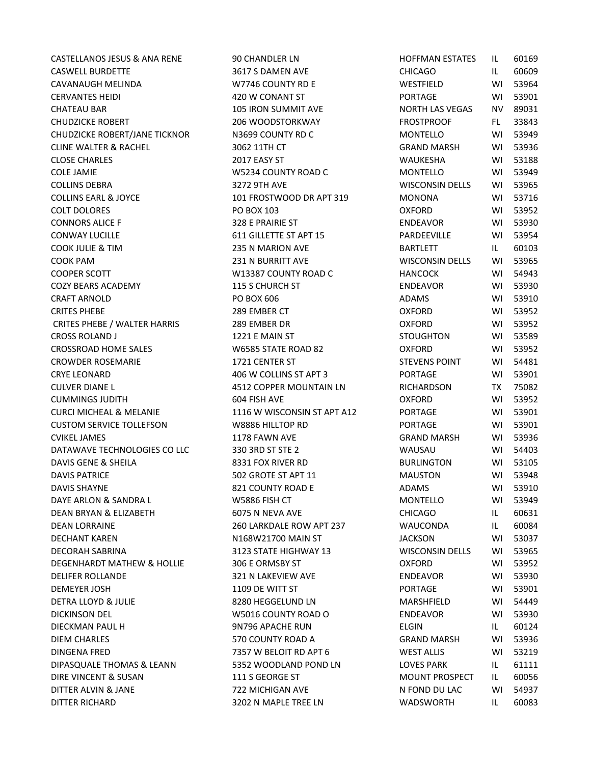CASTELLANOS JESUS & ANA RENE 90 CHANDLER LN CASWELL BURDETTE 3617 S DAMEN AVE CAVANAUGH MELINDA W7746 COUNTY RD E CERVANTES HEIDI 420 W CONANT ST CHATEAU BAR 105 IRON SUMMIT AVE CHUDZICKE ROBERT 206 WOODSTORKWAY CHUDZICKE ROBERT/JANE TICKNOR N3699 COUNTY RD C CLINE WALTER & RACHEL 3062 11TH CT CLOSE CHARLES 2017 EASY ST COLE JAMIE W5234 COUNTY ROAD C COLLINS DEBRA 3272 9TH AVE COLLINS EARL & JOYCE 101 FROSTWOOD DR APT 319 COLT DOLORES PO BOX 103 OXFORD WI 53952 CONNORS ALICE F 328 E PRAIRIE ST CONWAY LUCILLE 611 GILLETTE ST APT 15 COOK JULIE & TIM 235 N MARION AVE COOK PAM 231 N BURRITT AVE COOPER SCOTT W13387 COUNTY ROAD C COZY BEARS ACADEMY 115 S CHURCH ST CRAFT ARNOLD PO BOX 606 ADAMS WI 53910 CRITES PHEBE 289 EMBER CT OXFORD WI 53952 CRITES PHEBE / WALTER HARRIS 289 EMBER DR CROSS ROLAND J 1221 E MAIN ST CROSSROAD HOME SALES W6585 STATE ROAD 82 CROWDER ROSEMARIE 1721 CENTER ST CRYE LEONARD 406 W COLLINS ST APT 3 CULVER DIANE L 4512 COPPER MOUNTAIN LN CUMMINGS JUDITH 604 FISH AVE CURCI MICHEAL & MELANIE 1116 W WISCONSIN ST APT A12 CUSTOM SERVICE TOLLEFSON W8886 HILLTOP RD CVIKEL JAMES 1178 FAWN AVE DATAWAVE TECHNOLOGIES CO LLC 330 3RD ST STE 2 DAVIS GENE & SHEILA 8331 FOX RIVER RD DAVIS PATRICE 502 GROTE ST APT 11 DAVIS SHAYNE 821 COUNTY ROAD E DAYE ARLON & SANDRA L<br>W5886 FISH CT DEAN BRYAN & ELIZABETH 6075 N NEVA AVE DEAN LORRAINE 260 LARKDALE ROW APT 237 DECHANT KAREN N168W21700 MAIN ST DECORAH SABRINA 3123 STATE HIGHWAY 13 DEGENHARDT MATHEW & HOLLIE 306 E ORMSBY ST DELIFER ROLLANDE 321 N LAKEVIEW AVE DEMEYER JOSH 1109 DE WITT ST DETRA LLOYD & JULIE 8280 HEGGELUND LN DICKINSON DEL W5016 COUNTY ROAD O DIECKMAN PAUL H 9N796 APACHE RUN DIEM CHARLES 670 COUNTY ROAD A DINGENA FRED 7357 W BELOIT RD APT 6 DIPASQUALE THOMAS & LEANN 5352 WOODLAND POND LN DIRE VINCENT & SUSAN 111 S GEORGE ST DITTER ALVIN & JANE 722 MICHIGAN AVE DITTER RICHARD 3202 N MAPLE TREE LN

| HOFFMAN ESTATES        | IL  | 60169 |
|------------------------|-----|-------|
| CHICAGO                | IL. | 60609 |
| WESTFIELD              | WI  | 53964 |
| PORTAGE                | WI  | 53901 |
| <b>NORTH LAS VEGAS</b> | NV. | 89031 |
| FROSTPROOF             | FL. | 33843 |
| MONTELLO               | WI  | 53949 |
| GRAND MARSH            | WI  | 53936 |
| WAUKESHA               | WI  | 53188 |
| MONTELLO               | W١  | 53949 |
| WISCONSIN DELLS        | WI  | 53965 |
| MONONA                 | W١  | 53716 |
| OXFORD                 | WI  | 53952 |
| ENDEAVOR               | WI  | 53930 |
| PARDEEVILLE            | WI  | 53954 |
| BARTLETT               | IL. | 60103 |
| WISCONSIN DELLS        | WI  | 53965 |
| HANCOCK                | WI  | 54943 |
| ENDEAVOR               | WI  | 53930 |
| ADAMS                  | WI  | 53910 |
| OXFORD                 | WI  | 53952 |
| OXFORD                 | W١  | 53952 |
| STOUGHTON              | W١  | 53589 |
| OXFORD                 | WI  | 53952 |
| <b>STEVENS POINT</b>   | WI  | 54481 |
| PORTAGE                | WI  | 53901 |
| RICHARDSON             | TX  | 75082 |
| <b>OXFORD</b>          | W١  | 53952 |
| PORTAGE                | WI  | 53901 |
| PORTAGE                | WI  | 53901 |
| GRAND MARSH            | WI  | 53936 |
| WAUSAU                 | WI  | 54403 |
| BURLINGTON             | W١  | 53105 |
| <b>MAUSTON</b>         | WI  | 53948 |
| ADAMS                  | W١  | 53910 |
| <b>MONTELLO</b>        | WI  | 53949 |
| CHICAGO                | IL. | 60631 |
| WAUCONDA               | IL. | 60084 |
| <b>IACKSON</b>         | WI  | 53037 |
| WISCONSIN DELLS        | WI  | 53965 |
| <b>OXFORD</b>          | WI  | 53952 |
| ENDEAVOR               | WI  | 53930 |
| PORTAGE                | WI  | 53901 |
| <b>MARSHFIELD</b>      | WI  | 54449 |
| ENDEAVOR               | WI  | 53930 |
| ELGIN                  | IL. | 60124 |
| <b>GRAND MARSH</b>     | WI  | 53936 |
| <b>WEST ALLIS</b>      | WI  | 53219 |
| LOVES PARK             | IL. | 61111 |
| <b>MOUNT PROSPECT</b>  | IL. | 60056 |
| N FOND DU LAC          | WI  |       |
|                        |     | 54937 |
| WADSWORTH              | IL. | 60083 |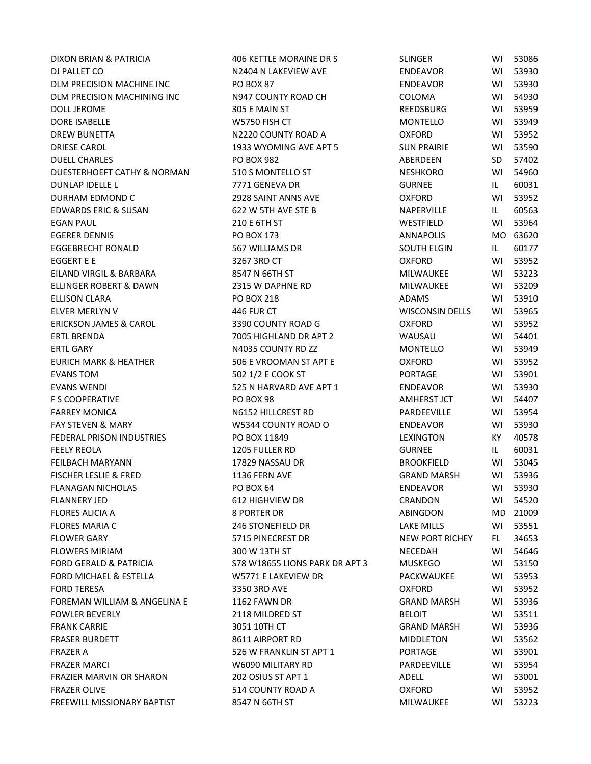DJ PALLET CO **NANCE A CONFERENCE A CONFERENCE AND A CONFERENCE AND A CONFERENCE AND ENDEAVOR WI 53930** DLM PRECISION MACHINE INC 
WI THE BOOK 87 DLM PRECISION MACHINING INC N947 COUNTY ROAD CH COLOMA WI 54930 DOLL JEROME 305 E MAIN ST REEDSBURG WI 53959 DORE ISABELLE W5750 FISH CT MONTELLO WI 53949 DREW BUNETTA N2220 COUNTY ROAD A OXFORD WI 53952 DRIESE CAROL 1933 WYOMING AVE APT 5 SUN PRAIRIE WI 53590 DUELL CHARLES PO BOX 982 ABERDEEN SD 57402 DUESTERHOEFT CATHY & NORMAN 510 S MONTELLO ST NESHKORO WI 54960 DUNLAP IDELLE L 7771 GENEVA DR GURNEE IL 60031 DURHAM EDMOND C 2928 SAINT ANNS AVE OXFORD WI 53952 EDWARDS ERIC & SUSAN 622 W 5TH AVE STE B ANDERVILLE THE 60563 EGAN PAUL 210 E 6TH ST WESTFIELD WI 53964 EGERER DENNIS PO BOX 173 ANNAPOLIS MO 63620 EGGEBRECHT RONALD 567 WILLIAMS DR SOUTH ELGIN IL 60177 EGGERT E E 3267 3RD CT OXFORD WI 53952 EILAND VIRGIL & BARBARA 8547 N 66TH ST MILWAUKEE WI 53223 ELLINGER ROBERT & DAWN 2315 W DAPHNE RD MILWAUKEE WI 53209 ELLISON CLARA PO BOX 218 ADAMS WI 53910 ELVER MERLYN V 446 FUR CT WISCONSIN DELLS WI 53965 ERICKSON JAMES & CAROL 3390 COUNTY ROAD G OXFORD WI 53952 ERTL BRENDA 7005 HIGHLAND DR APT 2 WAUSAU WI 54401 ERTL GARY N4035 COUNTY RD ZZ MONTELLO WI 53949 EURICH MARK & HEATHER 506 E VROOMAN ST APT E OXFORD WI 53952 EVANS TOM 502 1/2 E COOK ST PORTAGE WI 53901 EVANS WENDI 525 N HARVARD AVE APT 1 ENDEAVOR WI 53930 F S COOPERATIVE PO BOX 98 AMHERST JCT WI 54407 FARREY MONICA N6152 HILLCREST RD PARDEEVILLE WI 53954 FAY STEVEN & MARY THE ROOL WESSALD COUNTY ROAD OCCUPATION CONTENTS WILL SEEN ARREST STATES ON THE RESIST OF ST FEDERAL PRISON INDUSTRIES PO BOX 11849 LEXINGTON KY 40578 FEELY REOLA 1205 FULLER RD GURNEE IL 60031 FEILBACH MARYANN **17829 NASSAU DR** BROOKFIELD WI 53045 FISCHER LESLIE & FRED 1136 FERN AVE GRAND MARSH WI 53936 FLANAGAN NICHOLAS PO BOX 64 ENDEAVOR WI 53930 FLANNERY JED 612 HIGHVIEW DR CRANDON WI 54520 FLORES ALICIA A **8 PORTER DR** ABINGDON MD 21009 FLORES MARIA C 246 STONEFIELD DR LAKE MILLS WI 53551 FLOWER GARY **FLOWER GARY CONSUMED ASSESS** TO STATE STATE OF THE CREST DR NEW PORT RICHEY FLOWER STATES FLOWERS MIRIAM 6 100 M 13TH ST 200 W 13TH ST 200 M 23TH ST 200 M 23TH ST 200 M 23TH ST 200 M 23TH ST 200 M 23TH FORD GERALD & PATRICIA S78 W18655 LIONS PARK DR APT 3 MUSKEGO WI 53150 FORD MICHAEL & ESTELLA W5771 E LAKEVIEW DR PACKWAUKEE WI 53953 FORD TERESA 3350 3RD AVE OXFORD WI 53952 FOREMAN WILLIAM & ANGELINA E 1162 FAWN DR GRAND MARSH WI 53936 FOWLER BEVERLY **EXECUTE:** THE 2118 MILDRED ST AND SELOIT THE RELOIT WITH SAFE AND STUDIES AND STUDIES AND STUDIES FRANK CARRIE 3051 10TH CT GRAND MARSH WI 53936 FRASER BURDETT 8611 AIRPORT RD MIDDLETON WI 53562 FRAZER A **1988 WERANKLIN ST APT 1** PORTAGE 23901 FRAZER MARCI W6090 MILITARY RD PARDEEVILLE WI 53954 FRAZIER MARVIN OR SHARON 202 OSIUS ST APT 1 ADELL ADELL WI 53001 FRAZER OLIVE 514 COUNTY ROAD A OXFORD WI 53952 FREEWILL MISSIONARY BAPTIST A SEARCH ST AND RESOLUTION AND MILWAUKEE WI 53223

DIXON BRIAN & PATRICIA 406 KETTLE MORAINE DR S SLINGER WI 53086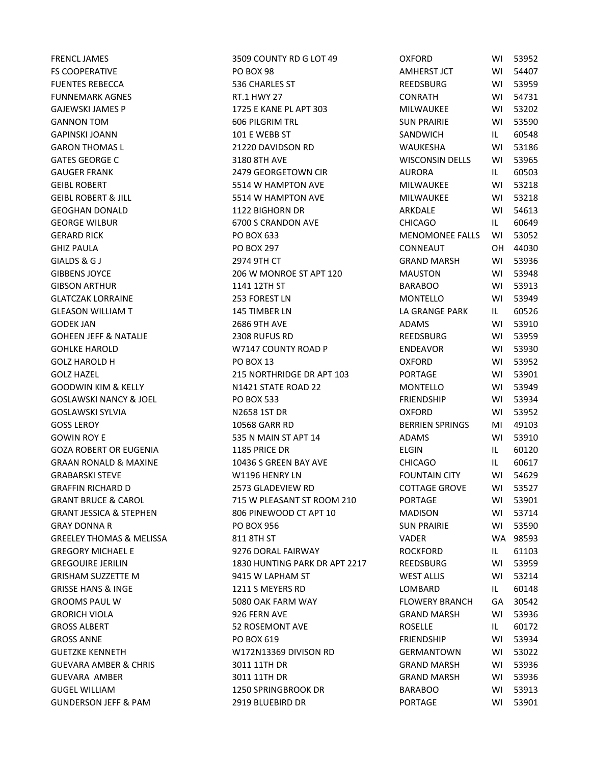| <b>FRENCL JAMES</b>                      | 3509 COUNTY RD G LOT 49               | <b>OXFORD</b>                           | WI       | 53952          |
|------------------------------------------|---------------------------------------|-----------------------------------------|----------|----------------|
| FS COOPERATIVE                           | <b>PO BOX 98</b>                      | AMHERST JCT                             | WI       | 54407          |
| <b>FUENTES REBECCA</b>                   | 536 CHARLES ST                        | REEDSBURG                               | WI       | 53959          |
| <b>FUNNEMARK AGNES</b>                   | RT.1 HWY 27                           | <b>CONRATH</b>                          | WI       | 54731          |
| GAJEWSKI JAMES P                         | 1725 E KANE PL APT 303                | <b>MILWAUKEE</b>                        | WI       | 53202          |
| <b>GANNON TOM</b>                        | <b>606 PILGRIM TRL</b>                | <b>SUN PRAIRIE</b>                      | WI       | 53590          |
| <b>GAPINSKI JOANN</b>                    | 101 E WEBB ST                         | SANDWICH                                | IL.      | 60548          |
| <b>GARON THOMAS L</b>                    | 21220 DAVIDSON RD                     | WAUKESHA                                | WI       | 53186          |
| <b>GATES GEORGE C</b>                    | 3180 8TH AVE                          | <b>WISCONSIN DELLS</b>                  | WI       | 53965          |
| <b>GAUGER FRANK</b>                      | 2479 GEORGETOWN CIR                   | <b>AURORA</b>                           | IL.      | 60503          |
| <b>GEIBL ROBERT</b>                      | 5514 W HAMPTON AVE                    | MILWAUKEE                               | WI       | 53218          |
| <b>GEIBL ROBERT &amp; JILL</b>           | 5514 W HAMPTON AVE                    | MILWAUKEE                               | WI       | 53218          |
| GEOGHAN DONALD                           | 1122 BIGHORN DR                       | ARKDALE                                 | WI       | 54613          |
| <b>GEORGE WILBUR</b>                     | 6700 S CRANDON AVE                    | <b>CHICAGO</b>                          | IL.      | 60649          |
| <b>GERARD RICK</b>                       | PO BOX 633                            | <b>MENOMONEE FALLS</b>                  | WI       | 53052          |
| <b>GHIZ PAULA</b>                        | <b>PO BOX 297</b>                     | CONNEAUT                                | OH       | 44030          |
| GIALDS & G J                             | 2974 9TH CT                           | <b>GRAND MARSH</b>                      | WI       | 53936          |
| <b>GIBBENS JOYCE</b>                     | 206 W MONROE ST APT 120               | <b>MAUSTON</b>                          | WI       | 53948          |
| <b>GIBSON ARTHUR</b>                     | 1141 12TH ST                          | <b>BARABOO</b>                          | WI       | 53913          |
| GLATCZAK LORRAINE                        | 253 FOREST LN                         | MONTELLO                                | WI       | 53949          |
| <b>GLEASON WILLIAM T</b>                 | 145 TIMBER LN                         | LA GRANGE PARK                          | IL.      | 60526          |
| <b>GODEK JAN</b>                         | 2686 9TH AVE                          | <b>ADAMS</b>                            | WI       | 53910          |
| <b>GOHEEN JEFF &amp; NATALIE</b>         | 2308 RUFUS RD                         | <b>REEDSBURG</b>                        | WI       | 53959          |
| <b>GOHLKE HAROLD</b>                     | W7147 COUNTY ROAD P                   | <b>ENDEAVOR</b>                         | WI       | 53930          |
| <b>GOLZ HAROLD H</b>                     | <b>PO BOX 13</b>                      | <b>OXFORD</b>                           | WI       | 53952          |
| <b>GOLZ HAZEL</b>                        | 215 NORTHRIDGE DR APT 103             | <b>PORTAGE</b>                          | WI       | 53901          |
| <b>GOODWIN KIM &amp; KELLY</b>           | N1421 STATE ROAD 22                   | <b>MONTELLO</b>                         | WI       | 53949          |
| <b>GOSLAWSKI NANCY &amp; JOEL</b>        | <b>PO BOX 533</b>                     | <b>FRIENDSHIP</b>                       | WI       | 53934          |
| GOSLAWSKI SYLVIA                         | N2658 1ST DR                          | <b>OXFORD</b>                           | WI       | 53952          |
| <b>GOSS LEROY</b>                        | 10568 GARR RD                         | <b>BERRIEN SPRINGS</b>                  | MI       | 49103          |
| <b>GOWIN ROY E</b>                       | 535 N MAIN ST APT 14                  | <b>ADAMS</b>                            | WI       | 53910          |
| GOZA ROBERT OR EUGENIA                   | 1185 PRICE DR                         | <b>ELGIN</b>                            | IL.      | 60120          |
| <b>GRAAN RONALD &amp; MAXINE</b>         | 10436 S GREEN BAY AVE                 | <b>CHICAGO</b>                          | IL.      | 60617          |
| <b>GRABARSKI STEVE</b>                   | W1196 HENRY LN                        | <b>FOUNTAIN CITY</b>                    | WI       | 54629          |
| <b>GRAFFIN RICHARD D</b>                 | 2573 GLADEVIEW RD                     | <b>COTTAGE GROVE</b>                    | WI       | 53527          |
| <b>GRANT BRUCE &amp; CAROL</b>           | 715 W PLEASANT ST ROOM 210            | <b>PORTAGE</b>                          | WI       | 53901          |
| GRANT JESSICA & STEPHEN                  | 806 PINEWOOD CT APT 10                | <b>MADISON</b>                          | WL       | 53714          |
| <b>GRAY DONNA R</b>                      | PO BOX 956                            | <b>SUN PRAIRIE</b>                      | WI       | 53590          |
| GREELEY THOMAS & MELISSA                 | 811 8TH ST                            | <b>VADER</b>                            |          | WA 98593       |
| <b>GREGORY MICHAEL E</b>                 | 9276 DORAL FAIRWAY                    | <b>ROCKFORD</b>                         | IL.      | 61103          |
| <b>GREGOUIRE JERILIN</b>                 | 1830 HUNTING PARK DR APT 2217         | REEDSBURG                               | WI       | 53959          |
| GRISHAM SUZZETTE M                       | 9415 W LAPHAM ST                      | <b>WEST ALLIS</b>                       | WI       | 53214          |
| <b>GRISSE HANS &amp; INGE</b>            | 1211 S MEYERS RD                      | LOMBARD                                 | IL.      | 60148          |
| <b>GROOMS PAUL W</b>                     | 5080 OAK FARM WAY                     | <b>FLOWERY BRANCH</b>                   | GA       | 30542          |
| <b>GRORICH VIOLA</b>                     | 926 FERN AVE                          | <b>GRAND MARSH</b>                      | WI       |                |
| <b>GROSS ALBERT</b>                      | 52 ROSEMONT AVE                       | <b>ROSELLE</b>                          | IL.      | 53936<br>60172 |
| <b>GROSS ANNE</b>                        | PO BOX 619                            | <b>FRIENDSHIP</b>                       | WI       | 53934          |
|                                          |                                       |                                         |          |                |
| GUETZKE KENNETH<br>GUEVARA AMBER & CHRIS | W172N13369 DIVISON RD<br>3011 11TH DR | <b>GERMANTOWN</b><br><b>GRAND MARSH</b> | WI<br>WI | 53022<br>53936 |
| GUEVARA AMBER                            | 3011 11TH DR                          | <b>GRAND MARSH</b>                      |          | 53936          |
| <b>GUGEL WILLIAM</b>                     | 1250 SPRINGBROOK DR                   | <b>BARABOO</b>                          | WI       | 53913          |
|                                          |                                       |                                         | WI       |                |
| <b>GUNDERSON JEFF &amp; PAM</b>          | 2919 BLUEBIRD DR                      | <b>PORTAGE</b>                          | WI       | 53901          |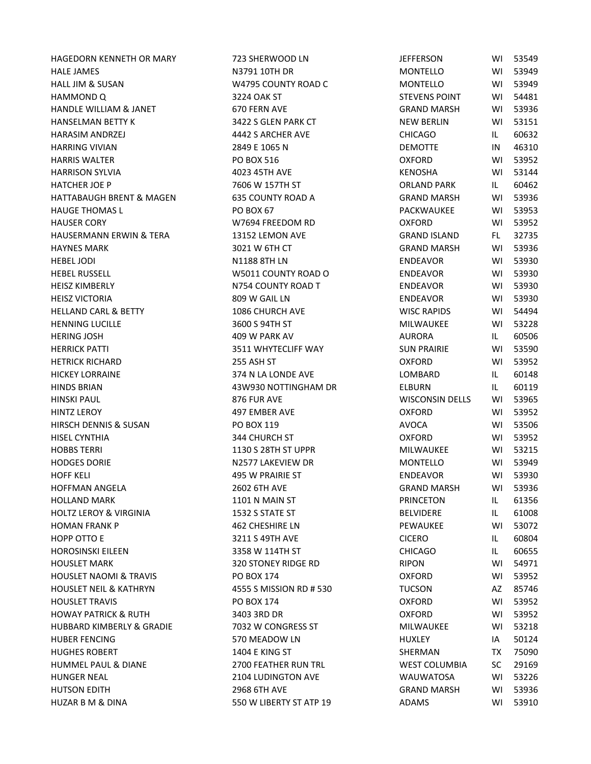HAGEDORN KENNETH OR MARY 723 SHERWOOD LN JEFFERSON WI 53549 HALE JAMES N3791 10TH DR MONTELLO WI 53949 HALL JIM & SUSAN NATURELLO WATER COUNTY ROAD COUNT MELL IN A MONTELLO MONTELLO MONTELLO MONTELLO MONTELLO MUNI HAMMOND Q 3224 OAK ST STEVENS POINT WI 54481 HANDLE WILLIAM & JANET 670 FERN AVE GRANDLE WILLIAM & SANT HANSELMAN BETTY K 3422 S GLEN PARK CT HARASIM ANDRZEJ 4442 S ARCHER AVE CHICAGO IL 60632 HARRING VIVIAN 2849 E 1065 N HARRIS WALTER **PO BOX 516** OXFORD WI 539526 HARRISON SYLVIA 4023 45TH AVE HATCHER JOE P 7606 W 157TH ST HATTABAUGH BRENT & MAGEN 635 COUNTY ROAD A GRAND GRAND GRAND MARSH GRAND MARSH GRAND MARSH WITH MARSH WITH MARSH WI 539367 (GRAND MARSH WI 539367 (GRAND MARSH WITH MARSH WITH MARSH WITH MARSH WITH MARSH WITH MARSH WITH MAR HAUGE THOMAS L PO BOX 67 PACKWAUKEE WITH SALE PO BOX 67 HAUSER CORY **WITH A CONFORM WITH A CONFORM A CONFORM CONFORM CONFORM A CONFORM CONFORM CONFORM CONFORM CONFORM** HAUSERMANN ERWIN & TERA 13152 LEMON AVE GRAND GRAND GRAND GRAND GRAND ISLAND GRAND FOR 32735 HAYNES MARK 3021 W 6TH CT GRAND MARSH WI 53936 HEBEL JODI N1188 8TH LN ENDEAVOR WI 53930 HEBEL RUSSELL ENDER W5011 COUNTY ROAD O ENDER BELIEVE SERVICE OF THE SERVICE OF THE SERVICE OF THE SERVICE OF T HEISZ KIMBERLY **ENDEAVOR KIMBERLY ENDER KIMBERLY ENDER KIMBERLY** HEISZ VICTORIA 809 W GAIL LN ENDEAVOR WI 53930 HELLAND CARL & BETTY 1086 CHURCH AVE HENNING LUCILLE THE STOLE SHOW STOLEN STOLEN AND MILLON SHOW STOLEN STOLEN ASSAULT AND MILLON STOLEN AND MILLON HERING JOSH 409 W PARK AV AURORA IL 60506 HERRICK PATTI 3511 WHYTECLIFF WAY SUN PRAIRIES HETRICK RICHARD 255 ASH ST OXFORD CONFORM AND THE STUDIES OF A STUDIES OF A STUDIES OF A STUDIES OF A STUDIES HICKEY LORRAINE LATER 2014 N LA LONDE AVE LATER IL 6014 N LA LONDE AVE HINDS BRIAN 43W930 NOTTINGHAM DR ELBURN IL 60119 HINSKI PAUL 876 FUR AVE WISCONSIN DELLS WI 53965 HINTZ LEROY 497 EMBER AVE OXFORD WI 53952 HIRSCH DENNIS & SUSAN PO BOX 119 HISEL CYNTHIA 344 CHURCH ST OXFORD WI 53952 HOBBS TERRI 1130 S 28TH ST UPPR MILWAUKEE WI 53215 HODGES DORIE NEWSLAUD NEWSLAUD NEWSLAUD NEWSLAUD NEWSLAUD NEWSLAUD NEWSLAUD NEWSLAUD NEWSLAUD NEWSLAUD NEWSLAU HOFF KELI 495 W PRAIRIE ST ENDEAVOR WI 53930 HOFFMAN ANGELA 2602 6TH AVE GRAND MARSH GRAND GRAND GRAND MARSH WI 53936 HOLLAND MARK THE RESERVE TO A 1101 N MAIN ST THE RESERVE TO A RESERVE THE RESERVE TO A RESERVE THE RESERVE TO A HOLTZ LEROY & VIRGINIA 1532 S STATE ST AND BELVIDE BELVIDE BELVIDE BELVIDE BELVIDE HOMAN FRANK P 33072 2012 1462 CHESHIRE LN HOPP OTTO E CICCERO IL 60804 SOLDING A 3211 S 49TH AVE CICERO IL 60804 CICERO IL 6080404 CICERO IL 6080404 CIC HOROSINSKI EILEEN 3358 W 114TH ST HOUSLET MARK THE RIPON SERVICE RESEARCH AND A STONEY RIDGE RD HOUSLET NAOMI & TRAVIS FORD AND THE PO BOX 174 HOUSLET NEIL & KATHRYN 4555 S MISSION RD # 530 HOUSLET TRAVIS PO BOX 174 OXFORD WI 53952 HOWAY PATRICK & RUTH 3403 3RD DR HUBBARD KIMBERLY & GRADIE 7032 W CONGRESS ST TAND TO A THE RESERVE TO A THE RESERVED ON A THE RESERVED ON A TH HUBER FENCING FERMING THE STO MEADOW LN FENCING FOR THE STOLEN ASSESSED. HUGHES ROBERT 1404 E KING ST SHERMAN TX 75090 HUMMEL PAUL & DIANE 2700 FEATHER RUN TRL WEST COLLUMBIA SC 2016 HUNGER NEAL NEAL 2104 LUDINGTON AVE HUTSON EDITH GRAND MARSH 2968 6TH AVE GRAND GRAND GRAND GRAND GRAND MARSH WI 539436 GRAND MARSH WI 53936 GRAND MARSH WI 53936 HUZAR B M & DINA  $\overline{a}$  550 W LIBERTY ST ATP 19

| <b>EFFERSON</b>      | W١  | 53549 |
|----------------------|-----|-------|
| MONTELLO             | W١  | 53949 |
| MONTELLO             | W١  | 53949 |
| <b>STEVENS POINT</b> | W١  | 54481 |
| <b>GRAND MARSH</b>   | WI  | 53936 |
| NEW BERLIN           | W١  | 53151 |
| <b>HICAGO</b>        | IL. | 60632 |
| DEMOTTE              | IN  | 46310 |
| )XFORD               | W١  | 53952 |
| (ENOSHA              | W١  | 53144 |
| <b>DRLAND PARK</b>   | IL. | 60462 |
| GRAND MARSH          | W١  | 53936 |
| <b>ACKWAUKEE</b>     | W١  | 53953 |
| )XFORD               | W١  | 53952 |
| GRAND ISLAND         | FL. | 32735 |
| <b>GRAND MARSH</b>   | WI  | 53936 |
| NDEAVOR              | WI  | 53930 |
| <b>NDEAVOR</b>       | W١  | 53930 |
| <b>NDEAVOR</b>       | WI  | 53930 |
| <b>NDEAVOR</b>       | W١  | 53930 |
| NISC RAPIDS          | W١  | 54494 |
| <b>MILWAUKEE</b>     | WI  | 53228 |
| <b>NURORA</b>        | IL. | 60506 |
| <b>JUN PRAIRIE</b>   | W١  | 53590 |
| )XFORD               | W١  | 53952 |
| OMBARD.              | IL. | 60148 |
| <b>LBURN</b>         | IL  | 60119 |
| NISCONSIN DELLS      | WI  | 53965 |
| <b>DXFORD</b>        | W١  | 53952 |
| AVOCA                | WI  | 53506 |
| <b>DXFORD</b>        | W١  | 53952 |
| MILWAUKEE            | W١  | 53215 |
| <b>MONTELLO</b>      | WI  | 53949 |
| NDEAVOR              | WI  | 53930 |
| GRAND MARSH          | WI  | 53936 |
| <b>PRINCETON</b>     | IL. | 61356 |
| <b>BELVIDERE</b>     | IL  | 61008 |
| <b>EWAUKEE</b>       | WI  | 53072 |
| <b>CICERO</b>        | IL  | 60804 |
| <b>HICAGO</b>        | IL  | 60655 |
| RIPON                | WI  | 54971 |
| <b>DXFORD</b>        | W١  | 53952 |
| Tucson               | AZ  | 85746 |
| <b>)XFORD</b>        | WI  | 53952 |
| <b>)XFORD</b>        | WI  | 53952 |
| <b>MILWAUKEE</b>     | WI  | 53218 |
| <b>HUXLEY</b>        | IA  | 50124 |
| <b>HERMAN</b>        | ТX  | 75090 |
| NEST COLUMBIA        | SC  | 29169 |
| NAUWATOSA            | WI  | 53226 |
| GRAND MARSH          | WI  | 53936 |
| <b>ADAMS</b>         | WI  | 53910 |
|                      |     |       |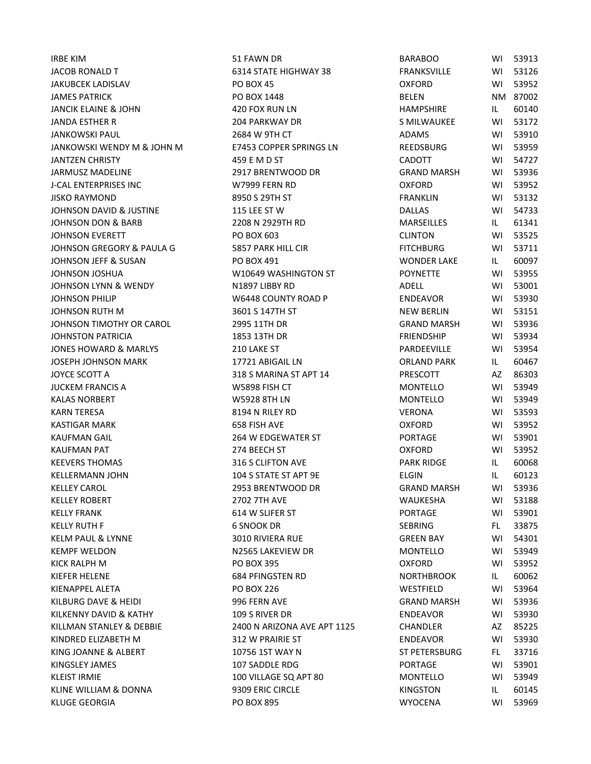| <b>IRBE KIM</b>              | 51 FAWN DR                  | <b>BARABOO</b>     | WI  | 53913    |
|------------------------------|-----------------------------|--------------------|-----|----------|
| JACOB RONALD T               | 6314 STATE HIGHWAY 38       | <b>FRANKSVILLE</b> | WI  | 53126    |
| JAKUBCEK LADISLAV            | <b>PO BOX 45</b>            | <b>OXFORD</b>      | WI  | 53952    |
| <b>JAMES PATRICK</b>         | PO BOX 1448                 | <b>BELEN</b>       |     | NM 87002 |
| JANCIK ELAINE & JOHN         | 420 FOX RUN LN              | HAMPSHIRE          | IL. | 60140    |
| JANDA ESTHER R               | <b>204 PARKWAY DR</b>       | S MILWAUKEE        | WI  | 53172    |
| JANKOWSKI PAUL               | 2684 W 9TH CT               | ADAMS              | WI  | 53910    |
| JANKOWSKI WENDY M & JOHN M   | E7453 COPPER SPRINGS LN     | REEDSBURG          | WI  | 53959    |
| <b>JANTZEN CHRISTY</b>       | 459 E M D ST                | <b>CADOTT</b>      | WI  | 54727    |
| JARMUSZ MADELINE             | 2917 BRENTWOOD DR           | <b>GRAND MARSH</b> | WI  | 53936    |
| J-CAL ENTERPRISES INC        | W7999 FERN RD               | <b>OXFORD</b>      | WI  | 53952    |
| <b>JISKO RAYMOND</b>         | 8950 S 29TH ST              | <b>FRANKLIN</b>    | WI  | 53132    |
| JOHNSON DAVID & JUSTINE      | 115 LEE ST W                | <b>DALLAS</b>      | WI  | 54733    |
| JOHNSON DON & BARB           | 2208 N 2929TH RD            | MARSEILLES         | IL. | 61341    |
| <b>JOHNSON EVERETT</b>       | PO BOX 603                  | <b>CLINTON</b>     | WI  | 53525    |
| JOHNSON GREGORY & PAULA G    | 5857 PARK HILL CIR          | <b>FITCHBURG</b>   | WI  | 53711    |
| JOHNSON JEFF & SUSAN         | PO BOX 491                  | <b>WONDER LAKE</b> | IL. | 60097    |
| JOHNSON JOSHUA               | W10649 WASHINGTON ST        | <b>POYNETTE</b>    | WI  | 53955    |
| JOHNSON LYNN & WENDY         | N1897 LIBBY RD              | ADELL              | WI  | 53001    |
| JOHNSON PHILIP               | W6448 COUNTY ROAD P         | ENDEAVOR           | WI  | 53930    |
| JOHNSON RUTH M               | 3601 S 147TH ST             | <b>NEW BERLIN</b>  | WI  | 53151    |
| JOHNSON TIMOTHY OR CAROL     | 2995 11TH DR                | <b>GRAND MARSH</b> | WI  | 53936    |
| JOHNSTON PATRICIA            | 1853 13TH DR                | <b>FRIENDSHIP</b>  | WI  | 53934    |
| JONES HOWARD & MARLYS        | 210 LAKE ST                 | PARDEEVILLE        | WI  | 53954    |
| JOSEPH JOHNSON MARK          | 17721 ABIGAIL LN            | <b>ORLAND PARK</b> | IL. | 60467    |
| JOYCE SCOTT A                | 318 S MARINA ST APT 14      | PRESCOTT           | AZ  | 86303    |
| JUCKEM FRANCIS A             | W5898 FISH CT               | MONTELLO           | WI  | 53949    |
| <b>KALAS NORBERT</b>         | <b>W5928 8TH LN</b>         | <b>MONTELLO</b>    | WI  | 53949    |
| <b>KARN TERESA</b>           | 8194 N RILEY RD             | VERONA             | WI  | 53593    |
| <b>KASTIGAR MARK</b>         | 658 FISH AVE                | <b>OXFORD</b>      | WI  | 53952    |
| KAUFMAN GAIL                 | 264 W EDGEWATER ST          | <b>PORTAGE</b>     | WI  | 53901    |
| KAUFMAN PAT                  | 274 BEECH ST                | <b>OXFORD</b>      | WI  | 53952    |
| <b>KEEVERS THOMAS</b>        | 316 S CLIFTON AVE           | <b>PARK RIDGE</b>  | IL. | 60068    |
| <b>KELLERMANN JOHN</b>       | 104 S STATE ST APT 9E       | <b>ELGIN</b>       | IL. | 60123    |
| <b>KELLEY CAROL</b>          | 2953 BRENTWOOD DR           | <b>GRAND MARSH</b> | WI  | 53936    |
| <b>KELLEY ROBERT</b>         | 2702 7TH AVE                | <b>WAUKESHA</b>    | WI  | 53188    |
| <b>KELLY FRANK</b>           | 614 W SLIFER ST             | <b>PORTAGE</b>     | WI  | 53901    |
| <b>KELLY RUTH F</b>          | <b>6 SNOOK DR</b>           | <b>SEBRING</b>     | FL. | 33875    |
| <b>KELM PAUL &amp; LYNNE</b> | <b>3010 RIVIERA RUE</b>     | <b>GREEN BAY</b>   | WI  | 54301    |
| <b>KEMPF WELDON</b>          | N2565 LAKEVIEW DR           | <b>MONTELLO</b>    | WI  | 53949    |
| KICK RALPH M                 | <b>PO BOX 395</b>           | <b>OXFORD</b>      | WI. | 53952    |
| KIEFER HELENE                | 684 PFINGSTEN RD            | <b>NORTHBROOK</b>  | IL. | 60062    |
| KIENAPPEL ALETA              | <b>PO BOX 226</b>           | WESTFIELD          | WI  | 53964    |
| KILBURG DAVE & HEIDI         | 996 FERN AVE                | <b>GRAND MARSH</b> | WI  | 53936    |
| KILKENNY DAVID & KATHY       | 109 S RIVER DR              | <b>ENDEAVOR</b>    | W١  | 53930    |
| KILLMAN STANLEY & DEBBIE     | 2400 N ARIZONA AVE APT 1125 | CHANDLER           | AZ  | 85225    |
| KINDRED ELIZABETH M          | 312 W PRAIRIE ST            | <b>ENDEAVOR</b>    | WI  | 53930    |
| KING JOANNE & ALBERT         | 10756 1ST WAY N             | ST PETERSBURG      | FL. | 33716    |
| KINGSLEY JAMES               | 107 SADDLE RDG              | <b>PORTAGE</b>     | WI  | 53901    |
| KLEIST IRMIE                 | 100 VILLAGE SQ APT 80       | <b>MONTELLO</b>    | WI  | 53949    |
| KLINE WILLIAM & DONNA        | 9309 ERIC CIRCLE            | <b>KINGSTON</b>    | IL. | 60145    |
| KLUGE GEORGIA                | PO BOX 895                  | <b>WYOCENA</b>     | W١  | 53969    |
|                              |                             |                    |     |          |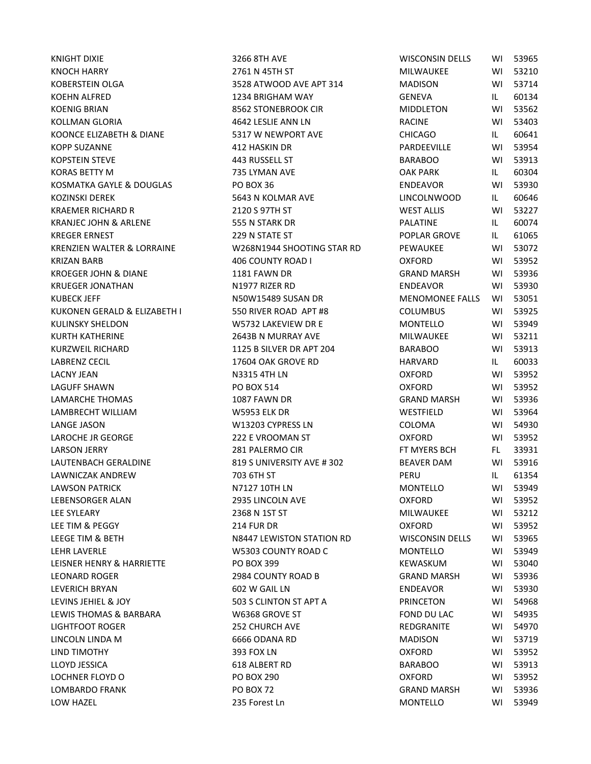| KNIGHT DIXIE                     | 3266 8TH AVE               | <b>WISCONSIN DELLS</b> | WI  | 53965 |
|----------------------------------|----------------------------|------------------------|-----|-------|
| <b>KNOCH HARRY</b>               | 2761 N 45TH ST             | MILWAUKEE              | WI  | 53210 |
| KOBERSTEIN OLGA                  | 3528 ATWOOD AVE APT 314    | <b>MADISON</b>         | WI  | 53714 |
| KOEHN ALFRED                     | 1234 BRIGHAM WAY           | GENEVA                 | IL  | 60134 |
| <b>KOENIG BRIAN</b>              | 8562 STONEBROOK CIR        | <b>MIDDLETON</b>       | WI  | 53562 |
| KOLLMAN GLORIA                   | 4642 LESLIE ANN LN         | <b>RACINE</b>          | WI  | 53403 |
| KOONCE ELIZABETH & DIANE         | 5317 W NEWPORT AVE         | <b>CHICAGO</b>         | IL. | 60641 |
| <b>KOPP SUZANNE</b>              | 412 HASKIN DR              | PARDEEVILLE            | WI  | 53954 |
| KOPSTEIN STEVE                   | 443 RUSSELL ST             | <b>BARABOO</b>         | WI  | 53913 |
| <b>KORAS BETTY M</b>             | 735 LYMAN AVE              | <b>OAK PARK</b>        | IL  | 60304 |
| KOSMATKA GAYLE & DOUGLAS         | <b>PO BOX 36</b>           | <b>ENDEAVOR</b>        | WI  | 53930 |
| KOZINSKI DEREK                   | 5643 N KOLMAR AVE          | <b>LINCOLNWOOD</b>     | IL. | 60646 |
| KRAEMER RICHARD R                | 2120 S 97TH ST             | <b>WEST ALLIS</b>      | WI  | 53227 |
| <b>KRANJEC JOHN &amp; ARLENE</b> | 555 N STARK DR             | PALATINE               | IL. | 60074 |
| <b>KREGER ERNEST</b>             | 229 N STATE ST             | POPLAR GROVE           | IL. | 61065 |
| KRENZIEN WALTER & LORRAINE       | W268N1944 SHOOTING STAR RD | PEWAUKEE               | WI  | 53072 |
| KRIZAN BARB                      | 406 COUNTY ROAD I          | <b>OXFORD</b>          | WI  | 53952 |
| <b>KROEGER JOHN &amp; DIANE</b>  | 1181 FAWN DR               | <b>GRAND MARSH</b>     | WI  | 53936 |
| <b>KRUEGER JONATHAN</b>          | N1977 RIZER RD             | <b>ENDEAVOR</b>        | WI  | 53930 |
| KUBECK JEFF                      | N50W15489 SUSAN DR         | <b>MENOMONEE FALLS</b> | WI  | 53051 |
| KUKONEN GERALD & ELIZABETH I     | 550 RIVER ROAD APT #8      | <b>COLUMBUS</b>        | WI  | 53925 |
| KULINSKY SHELDON                 | W5732 LAKEVIEW DR E        | MONTELLO               | WI  | 53949 |
| KURTH KATHERINE                  | 2643B N MURRAY AVE         | MILWAUKEE              | WI  | 53211 |
| KURZWEIL RICHARD                 | 1125 B SILVER DR APT 204   | <b>BARABOO</b>         | WI  | 53913 |
| LABRENZ CECIL                    | 17604 OAK GROVE RD         | HARVARD                | IL. | 60033 |
| <b>LACNY JEAN</b>                | N3315 4TH LN               | <b>OXFORD</b>          | WI  | 53952 |
| LAGUFF SHAWN                     | <b>PO BOX 514</b>          | <b>OXFORD</b>          | WI  | 53952 |
| LAMARCHE THOMAS                  | 1087 FAWN DR               | <b>GRAND MARSH</b>     | WI  | 53936 |
| LAMBRECHT WILLIAM                | <b>W5953 ELK DR</b>        | WESTFIELD              | WI  | 53964 |
| LANGE JASON                      | W13203 CYPRESS LN          | COLOMA                 | WI  | 54930 |
| LAROCHE JR GEORGE                | 222 E VROOMAN ST           | <b>OXFORD</b>          | WI  | 53952 |
| LARSON JERRY                     | 281 PALERMO CIR            | FT MYERS BCH           | FL. | 33931 |
| LAUTENBACH GERALDINE             | 819 S UNIVERSITY AVE #302  | <b>BEAVER DAM</b>      | WI  | 53916 |
| LAWNICZAK ANDREW                 | 703 6TH ST                 | PERU                   | IL. | 61354 |
| <b>LAWSON PATRICK</b>            | N7127 10TH LN              | MONTELLO               | WI  | 53949 |
| LEBENSORGER ALAN                 | 2935 LINCOLN AVE           | <b>OXFORD</b>          | WI  | 53952 |
| LEE SYLEARY                      | 2368 N 1ST ST              | MILWAUKEE              | WI  | 53212 |
| LEE TIM & PEGGY                  | <b>214 FUR DR</b>          | <b>OXFORD</b>          | WI  | 53952 |
| LEEGE TIM & BETH                 | N8447 LEWISTON STATION RD  | <b>WISCONSIN DELLS</b> | WI. | 53965 |
| LEHR LAVERLE                     | W5303 COUNTY ROAD C        | <b>MONTELLO</b>        | WI. | 53949 |
| LEISNER HENRY & HARRIETTE        | PO BOX 399                 | KEWASKUM               | WI. | 53040 |
| LEONARD ROGER                    | 2984 COUNTY ROAD B         | <b>GRAND MARSH</b>     | WI  | 53936 |
| <b>LEVERICH BRYAN</b>            | 602 W GAIL LN              | <b>ENDEAVOR</b>        | WI  | 53930 |
| LEVINS JEHIEL & JOY              | 503 S CLINTON ST APT A     | <b>PRINCETON</b>       | WI. | 54968 |
| LEWIS THOMAS & BARBARA           | W6368 GROVE ST             | FOND DU LAC            | WI  | 54935 |
| <b>LIGHTFOOT ROGER</b>           | <b>252 CHURCH AVE</b>      | REDGRANITE             | WI. | 54970 |
| LINCOLN LINDA M                  | 6666 ODANA RD              | <b>MADISON</b>         | WI  | 53719 |
| LIND TIMOTHY                     | 393 FOX LN                 | <b>OXFORD</b>          | WI  | 53952 |
| LLOYD JESSICA                    | 618 ALBERT RD              | <b>BARABOO</b>         | WI  | 53913 |
| LOCHNER FLOYD O                  | <b>PO BOX 290</b>          | <b>OXFORD</b>          | WI. | 53952 |
| LOMBARDO FRANK                   | <b>PO BOX 72</b>           | <b>GRAND MARSH</b>     | WI. | 53936 |
| LOW HAZEL                        | 235 Forest Ln              | MONTELLO               | WI  | 53949 |
|                                  |                            |                        |     |       |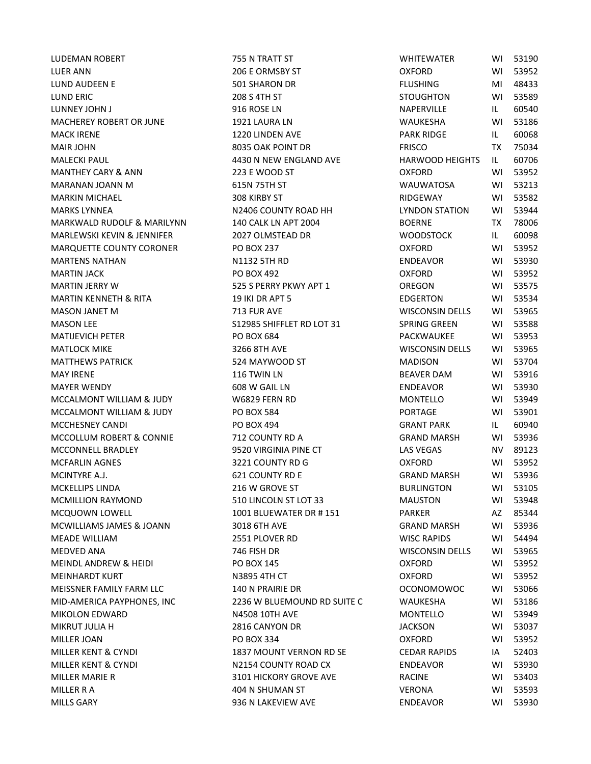LUER ANN 206 E ORMSBY ST OXFORD WI 53952 LUND AUDEEN E FLUSH SOLISHARON DR FLUSHING MI 4843444 SOLISHARON DR LUND ERIC 208 S 4TH ST STOUGHTON WI 53589 LUNNEY JOHN JAN SUNDAY SERIES SOMETIME SERIES OF THE STATE IN NAPERVILLE IN NAPERVILLE IN NAPERVILLE IN NAPERVILLE IN MACHEREY ROBERT OR JUNE 1921 LAURA LN MACK IRENE 1220 LINDEN AVE PARK RIDGE IN THE PARK RIDGE IN THE PARK RIDGE IN THE PARK RIDGE IN THE PARK RIDGE I MAIR JOHN 8035 OAK POINT DR MALECKI PAUL **AUGUST 14430 N NEW ENGLAND AVE** MANTHEY CARY & ANN 223 E WOOD ST MARANAN JOANN M 615N 75TH ST MARKIN MICHAEL 308 KIRBY ST MARKS LYNNEA NEW NOTIFIED ON NEW NORTH STATISTICS OF A LATE OF THE LATE OF THE LATE OF THE LATE OF THE LATE OF THE LATE OF THE LATE OF THE LATE OF THE LATE OF THE LATE OF THE LATE OF THE LATE OF THE LATE OF THE LATE OF THE MARKWALD RUDOLF & MARILYNN 140 CALK LN APT 2004 BOERNE TABLE MARLEWSKI KEVIN & JENNIFER 2027 OLMSTEAD DR MARQUETTE COUNTY CORONER PO BOX 237 OXFORD WINDOW CONTROL COUNTY CORONER MARTENS NATHAN **NATHAN NATHAN NATHAN NATHAN NATHAN NATHA**N NATHAN NATHAN NATHAN NATHAN NATHAN NATHAN NATHAN NATH MARTIN JACK PO BOX 492 OXFORD WI 53952 MARTIN JERRY W 525 S PERRY PKWY APT 1 MARTIN KENNETH & RITA 19 IKI DR APT 5 EDGERTON WISSENSE EDGERTING WITH THE SEDGERT OF STATISTICS. MASON JANET M 339656 713 FUR AVE WISCONSIN DELLIS WISCONSIN DELLIS WISCONSIN DELLIS WITH A VEHICLE WITH A VEHICLE WI MASON LEE SAND SELLING STATE STATES SHIFFLET RD LOT 31 MATIJEVICH PETER PO BOX 684 PACKWAUKEE WITH SALES AND THE PO BOX 684 MATLOCK MIKE 3266 8TH AVE WISCONSIN DELLS WI 53965 MATTHEWS PATRICK 624 MAYWOOD ST MAY IRENE 116 TWIN LN BEAVER DAM WI 53916 MAYER WENDY FOR THE GOS WINDER ON THE GOS WI GAIL LN MCCALMONT WILLIAM & JUDY W6829 FERN RD MCCALMONT WILLIAM & JUDY PO BOX 584 MCCHESNEY CANDI DERINI PO BOX 494 GRANT PO BOX 1994 MCCOLLUM ROBERT & CONNIE  $\begin{array}{ccc} 712 & \text{COUNTY} \text{ RDA} \end{array}$  ( MCCONNELL BRADLEY 9520 VIRGINIA PINE CT LAS VEGAS NV 89123 MCFARLIN AGNES 63221 COUNTY RD G OXFORD WI 539521 COUNTY RD G MCINTYRE A.J. 621 COUNTY RD E GRAND MARSH WI 54936 COUNTY RD E MCKELLIPS LINDA **EXECUTE 1216** W GROVE ST **BURLINGS** MCMILLION RAYMOND 510 LINCOLN ST LOT 33 MCQUOWN LOWELL 1001 BLUEWATER DR # 151 MCWILLIAMS JAMES & JOANN 3018 6TH AVE GRAND GRAND GRAND GRAND GRAND GRAND GRAND GRAND GRAND GRAND GRAND GRAND G MEADE WILLIAM 2551 PLOVER RD MEDVED ANA 746 FISH DR WISCONSIN DELLS WI 53965 MEINDL ANDREW & HEIDI PO BOX 145 OXFORD WI 53952 MEINHARDT KURT NAMEN AND A STREAM NAMEN NAMEN ON THE OXFORD WITH CT MEISSNER FAMILY FARM LLC 140 N PRAIRIE DR OCONOMOWOC WI 53066 MID-AMERICA PAYPHONES, INC 2236 W BLUEMOUND RD SUITE C WALLER WIE SHA WI 531866 WILLOW FOR SUITE C MIKOLON EDWARD N4508 10TH AVE MONTELLO MONTELLO METALLO METALLO MISSION IN THE MONTELLO MUSIC WITH A MONTELLO MI MIKRUT JULIA H 2816 CANYON DR JACKSON WI 53037 MILLER JOAN PO BOX 334 OXFORD WI 53952 MILLER KENT & CYNDI 1837 MOUNT VERNON RD SE CEDAR RAPIDS IA 52403 MILLER KENT & CYNDI **N2154 COUNTY ROAD CX** MILLER MARIE R 3101 HICKORY GROVE AVE RACINE WI 53403 MILLER R A 404 N SHUMAN ST MILLS GARY **ENDEAVOR WINDERS OF STATE STATES OF STATES AND RESERVIEW AVE** 

LUDEMAN ROBERT TELL THE TRATT ST THE WINDOW OF THE WHITE WILL ALL THE WHITE WILL ARE AN UNIVERSITY OF THE WINDOW OF THE WILL ALL THE WILL ARE AN UNIVERSITY OF THE WILL ALL THE WILL ALL THE WILL ALL THE WILL ARE AN UNIVERSI

| <b><i>NHITEWATER</i></b> | WI        | 53190 |
|--------------------------|-----------|-------|
| )XFORD                   | W١        | 53952 |
| <b>LUSHING</b>           | MI        | 48433 |
| <b>TOUGHTON</b>          | W١        | 53589 |
| NAPERVILLE               | IL.       | 60540 |
| <b>NAUKESHA</b>          | WI        | 53186 |
| <b>ARK RIDGE</b>         | IL.       | 60068 |
| <b>RISCO</b>             | TX        | 75034 |
| IARWOOD HEIGHTS          | IL.       | 60706 |
| )XFORD                   | WI        | 53952 |
| NAUWATOSA                | W١        | 53213 |
| <b>NDGEWAY</b>           | WI        | 53582 |
| <b>YNDON STATION</b>     | WI        | 53944 |
| 3OERNE                   | <b>TX</b> | 78006 |
| NOODSTOCK                | IL.       | 60098 |
| <b>DXFORD</b>            | WI        | 53952 |
| <b>NDEAVOR</b>           | WI        | 53930 |
| <b>DXFORD</b>            | WI        | 53952 |
| DREGON                   | W١        | 53575 |
| <b>DGERTON</b>           | W١        | 53534 |
| WISCONSIN DELLS          | WI        | 53965 |
| PRING GREEN              | W١        | 53588 |
| <b>ACKWAUKEE</b>         | WI        | 53953 |
| NISCONSIN DELLS          | WI        | 53965 |
| <b>MADISON</b>           | W١        | 53704 |
| <b>BEAVER DAM</b>        | WI        | 53916 |
| NDEAVOR                  | WI        | 53930 |
| <b>MONTELLO</b>          | WI        | 53949 |
| PORTAGE                  | WI        | 53901 |
| GRANT PARK               | IL.       | 60940 |
| <b>GRAND MARSH</b>       | W١        | 53936 |
| <b>AS VEGAS</b>          | NV.       | 89123 |
| <b>OXFORD</b>            | W١        | 53952 |
| GRAND MARSH              | WI        | 53936 |
| <b>BURLINGTON</b>        | WI        | 53105 |
| <b>MAUSTON</b>           | WI        | 53948 |
| <b>ARKER</b>             | AZ        | 85344 |
| GRAND MARSH              | W١        | 53936 |
| <b>NISC RAPIDS</b>       | WI        | 54494 |
| <b>NISCONSIN DELLS</b>   | WI        | 53965 |
| <b>DXFORD</b>            | WI        | 53952 |
| <b>DXFORD</b>            | W١        | 53952 |
| <b>CONOMOWOC</b>         | W١        | 53066 |
| <b>NAUKESHA</b>          | WI        | 53186 |
| <b>MONTELLO</b>          | WI        | 53949 |
| <b>ACKSON</b>            | WI        | 53037 |
| <b>DXFORD</b>            | WI        | 53952 |
| <b>EDAR RAPIDS</b>       | IA        | 52403 |
| <b>NDEAVOR</b>           | WI        | 53930 |
| <b>ACINE</b>             | WI        | 53403 |
| /ERONA                   | WI        | 53593 |
| NDEAVOR                  | WI        | 53930 |
|                          |           |       |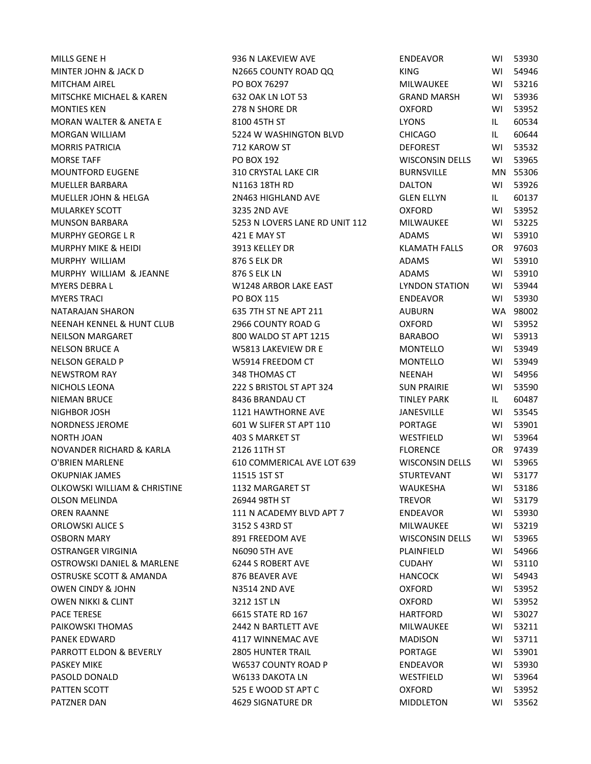MINTER JOHN & JACK D N2665 COUNTY ROAD QQ MITCHAM AIREL **ALL CONSTANDING PO BOX 76297** MITCHAM AIREL MITSCHKE MICHAEL & KAREN 632 OAK LN LOT 53 MONTIES KEN 278 N SHORE DR MORAN WALTER & ANETA E 8100 45TH ST AND RESERVE LATER AND RESERVE LATER AND RESERVE LATER AND RESERVE LATER AND MORGAN WILLIAM 65224 W WASHINGTON BLVD CHICAGO IL 606444 C MORRIS PATRICIA FOREST THE STATE OF THE 212 KAROW ST MORSE TAFF TARRIST AND RESOLUTION OF DRIVING PO BOX 192 MOUNTFORD EUGENE 5310 CRYSTAL LAKE CIR BURNSTAL LAKE CIR MUELLER BARBARA NELLER BARBARA NELLER BARBARA NELLER SANTA MELLER ON DALTON WITH RISP. THE SANTA WITH RISP. THE SANTA WITH RISP. THE SANTA WITH RISP. THE SANTA WITH RISP. THE SANTA WITH RISP. THE SANTA WITH RISP. THE SANTA MUELLER JOHN & HELGA 2N463 HIGHLAND AVE GLEN ELLYN IL 60137 MULARKEY SCOTT 3235 2ND AVE OXFORD WI 53952 MUNSON BARBARA 6253 N LOVERS LANE RD UNIT 112 MURPHY GEORGE L R  $\overline{A}$  421 E MAY ST  $\overline{A}$ MURPHY MIKE & HEIDI 3913 KELLEY DR MURPHY WILLIAM AND RESOLUTION STRIKE BELK DR MURPHY WILLIAM & JEANNE 876 S ELK LN MYERS DEBRA L NORTH STATION STATION WI 248 ARBOR LAKE EAST THE STATION STATION STATION STATION STATION STATION STATION STATION STATION STATION STATION STATION STATION STATION STATION STATION STATION STATION STATION STATION MYERS TRACI PO BOX 115 ENDEAVOR WI 53930 NATARAJAN SHARON  $\overline{A}$  635 7TH ST NE APT 211  $\overline{A}$ NEENAH KENNEL & HUNT CLUB 2966 COUNTY ROAD G COUNT 53956 COUNTY ROAD G NEILSON MARGARET BARAGO WALDO ST APT 1215 BARABOO WALDO ST APT 1215 NELSON BRUCE A **W5813 LAKEVIEW DR E** MONTELLO WI 5313 LAKEVIEW DR E NELSON GERALD P NELSON GERALD P W W5914 FREEDOM CT NEWSTROM RAY 348 THOMAS CT NEENAH WI 54956 NICHOLS LEONA 222 S BRISTOL ST APT 324 NIEMAN BRUCE 8436 BRANDAU CT TINLEY PARK IL 60487 NIGHBOR JOSH 1121 HAWTHORNE AVE JANGHBOR JOSH NORDNESS JEROME FOR A SURFER ST APT 110 PORTAGE WITH ST APT 110 NORTH JOAN 2003 S MARKET ST WESTFIELD WINDOW AND THE LOCAL WINDOW WINDOW WINDOW WI 539644 WESTFIELD WINDOW WI S NOVANDER RICHARD & KARLA 2126 11TH ST FLORENCE OR 97444 1214 1214 1214 1214 1314 1314 1329 1329 1329 O'BRIEN MARLENE 610 COMMERICAL AVE LOT 639 V OKUPNIAK JAMES STATES AND STATES TO A STATE OF THE STATES STATES AND THE STATES OF THE STATES OF THE STATES OF THE STATES OF THE STATES OF THE STATES OF THE STATES OF THE STATES OF THE STATES OF THE STATES OF THE STATES OF OLKOWSKI WILLIAM & CHRISTINE 1132 MARGARET ST WARESHAM WI 531866 OLSON MELINDA 26944 98TH ST TREVOR WI 53179 OREN RAANNE THE SERVICE OF A SERVICE OF A SERVICE OF A SERVICE OF THE SERVICE OF A SERVICE OF THE SERVICE OF S ORLOWSKI ALICE S 3152 S 43RD ST NATURE MILLWAUKEE WISSENSE WINDOWS AND ALL AND MILLWAUKEE WITH SALE AND MILLWAUKEE WI OSBORN MARY NEW SOLL FREEDOM AVE WISCONSIN DELLISTIC WITH A VEHICLE WITH A VEHICLE WITH A VEHICLE WITH A VEHICLE WITH A VEHICLE WITH A VEHICLE WITH A VEHICLE WITH A VEHICLE WITH A VEHICLE WITH A VEHICLE WITH A VEHICLE WITH OSTRANGER VIRGINIA NEUROLOGISTH AVE PLANING WI 5496690 57H AVE OSTROWSKI DANIEL & MARLENE 6244 S ROBERT AVE CUBAHY CU OSTRUSKE SCOTT & AMANDA 876 BEAVER AVE HANDA FANGUS OWEN CINDY & JOHN COMES AND AVEC AND AVEC COMES ON THE OXFORD WILL BE ON THE OXFORD WILL BE ON THE OXFORD WILL BE O OWEN NIKKI & CLINT GOVEN NIKKI 3212 1ST LN PACE TERESE FOR THE STATE RD 167 PAIKOWSKI THOMAS THE RESERVE THAT A 2442 N BARTLETT AVE THE MILLWAUKE MILLWAUKE WITH SALES AND MILLWAUKE MILLWA PANEK EDWARD **ALL ADISON WINNEMAC AVE MADISON WINNEMAC** AVE PARROTT ELDON & BEVERLY **2805 HUNTER TRAIL** PORTAGE WITH THE PORTAGE WITH THE PORTAGE WITH THE PORT OF PORTAGE WITH THE PORT OF PORT OF PORTAGE PORT OF PORT OF PORTAGE WITH THE PORT OF PORT OF PORT OF PORT OF PORT OF PORT PASKEY MIKE THE RESERVE THE MOSS WAS STOUNTY ROAD PUBLISHING THE RESERVE THAT AND THE RESERVE THAT A RESERVE TH PASOLD DONALD W6133 DAKOTA LN WESTFIELD WI 53964 PATTEN SCOTT THE STATE SERVICE SERVICE STAP SOFT APT CONFORM OF CONFORM WILL BE SERVICE OF THE STATE STATE STA PATZNER DAN 1999 SIGNATURE DR MIDDLETON WINDOWS AND 4629 SIGNATURE DR MIDDLETON MIDDLETON MIDDLETON MIDDLETON M

MILLS GENE H 936 N LAKEVIEW AVE ENDEAVOR WI 53930

| <b>NDEAVOR</b>          | WI  | 53930             |
|-------------------------|-----|-------------------|
| <b>ING</b>              | WI  | 54946             |
| <i>I</i> ILWAUKEE       | W١  | 53216             |
| RAND MARSH              | W١  | 53936             |
| <b>XFORD</b>            | WI  | 53952             |
| YONS                    | IL. | 60534             |
| <b>HICAGO</b>           | IL. | 60644             |
| <b>EFOREST</b>          | W١  | 53532             |
| VISCONSIN DELLS         | W١  | 53965             |
| ፡URNSVILLE              | MN. | 55306             |
| )ALTON                  |     | WI 53926          |
| SLEN ELLYN              | IL. | 60137             |
| )XFORD                  | WI  | 53952             |
| <i><b>AILWAUKEE</b></i> | W١  | 53225             |
| <b>DAMS</b>             | W١  | 53910             |
| <b>LAMATH FALLS</b>     | OR  | 97603             |
| <b>DAMS</b>             |     | WI 53910          |
| <b>DAMS</b>             | WI  | 53910             |
| YNDON STATION           | W١  | 53944             |
| <b>NDEAVOR</b>          | W١  | 53930             |
| <b>UBURN</b>            | WA. | 98002             |
| <b>XFORD</b>            | WI  |                   |
|                         |     | 53952<br>WI 53913 |
| ARABOO                  | WI  |                   |
| <i>I</i> ONTELLO        |     | 53949             |
| <i>I</i> ONTELLO        | WI  | 53949             |
| <b>JEENAH</b>           | W١  | 54956             |
| <b>UN PRAIRIE</b>       | WI  | 53590             |
| <b>INLEY PARK</b>       | IL. | 60487             |
| ANESVILLE               | WI  | 53545             |
| 'ORTAGE                 | WI  | 53901             |
| VESTFIELD               | W١  | 53964             |
| LORENCE                 | OR. | 97439             |
| <b>VISCONSIN DELLS</b>  | WI  | 53965             |
| TURTEVANT               | WI  | 53177             |
| VAUKESHA                | WI  | 53186             |
| <b>REVOR</b>            | W١  | 53179             |
| <b>NDEAVOR</b>          | W١  | 53930             |
| <b>AILWAUKEE</b>        | WI  | 53219             |
| VISCONSIN DELLS         | WI  | 53965             |
| <b>LAINFIELD</b>        | WI  | 54966             |
| <b>UDAHY</b>            | WI  | 53110             |
| <b>IANCOCK</b>          | WI  | 54943             |
| <b>XFORD</b>            | WI  | 53952             |
| <b>XFORD</b>            | WI  | 53952             |
| <b>IARTFORD</b>         | WI  | 53027             |
| <b>AILWAUKEE</b>        | WI  | 53211             |
| AADISON                 | WI  | 53711             |
| 'ORTAGE                 | WI  | 53901             |
| <b>NDEAVOR</b>          | WI  | 53930             |
| VESTFIELD               | WI  | 53964             |
| <b>XFORD</b>            | WI  | 53952             |
| <b><i>AIDDLETON</i></b> | WI  | 53562             |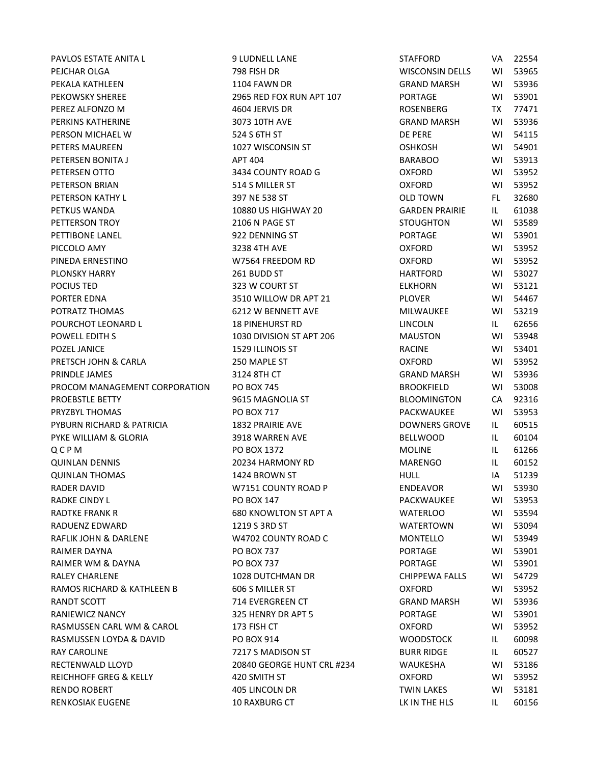PAVLOS ESTATE ANITA L SANTO LO PAVLOS ESTATE ANITA L PEJCHAR OLGA 798 FISH DR WISCONSIN DELLS WI 53965 PEKALA KATHLEEN 1104 FAWN DR GRAND GRAND GRAND MARSH GRAND GRAND MARSH GRAND MARSH GRAND GRAND GRAND GRAND MARSH G PEKOWSKY SHEREE THE 2965 RED FOX RUN APT 107 PEREZ ALFONZO M 604 JERVIS DR ROSENBERG TX 774711 PERKINS KATHERINE 3073 10TH AVE PERSON MICHAEL W 524 S 6TH ST PETERS MAUREEN 1027 WISCONSIN ST PETERSEN BONITA JAPAN BARABOO WI 53913404 BARABOO WI 53913404 BARABOO WI 53913404 BARABOO WI 53913404 BARABOO WI 53913404 BARABOO WI 53913404 BARABOO WI 53913404 BARABOO WI 53913404 BARABOO WI 53913404 BARABOO WI 53913404 PETERSEN OTTO GOVERNMENT SA SA SA COUNTY ROAD GOVERNMENT OF COUNTY AND THE RESERVE OF COUNTY ROAD GOVERNMENT OF COUNTY ROAD GOVERNMENT OF COUNTY ROAD GOVERNMENT OF COUNTY ROAD GOVERNMENT OF COUNTY AND A COUNTY ROAD GOVERNM PETERSON BRIAN 514 S MILLER ST ON THE RESERVE OF STATE OF THE RESERVE OF STATE OF THE RESERVE OF STATE OF THE ST PETERSON KATHY LETTERS ON A STREET AND TOWN FLOW TO STREET A STREET AND TOWN FLOW TOWN FLOW TOWN FLOW TOWN FLOW PETKUS WANDA 10880 US HIGHWAY 20 PETTERSON TROY SALL BETTERSON TROY STOUGHT OF STOUGHTON WITH SALL BETTERS ON PAGE STOUGHTON WITH SALL BETTERS ON THE STOUGHTON WITH SALL BETTERS ON THE STOUGHTON WITH SALL BETTERS ON THE STOUGHTON WITH SALL BETTERS ON THE PETTIBONE LANEL 2022 DENNING ST PETTIBONE LANEL PICCOLO AMY 3238 4TH AVE OXFORD WI 53952 PINEDA ERNESTINO CONTROL 199564 FREEDOM RD CONTROL 1 PLONSKY HARRY 261 BUDD ST HARTFORD WI 53027 POCIUS TED 60 COURT ST ELECTRON WIND SAN SALE STOLEN WITH STUDIES AND THE STUDIES OF STUDIES OF STUDIES AND THE PORTER EDNA 1990 CONTROL 2510 WILLOW DR APT 21 POTRATZ THOMAS THIS ISSUED AS A SERVE OF THE MILLWAUKEE WITH A SERVE THE MILLWAUKEE WITH SAFEKEE WITH SAFEKEE MI POURCHOT LEONARD L **18 PINEHURST RD** L POWELL EDITH S 1030 DIVISION ST APT 206 POZEL JANICE **1529 ILLINOIS ST** RACINE WI 54401 **F** PRETSCH JOHN & CARLA 250 MAPLE ST PRINDLE JAMES 3124 8TH CT GRAND MARSH WI 53936 PROCOM MANAGEMENT CORPORATION PO BOX 745 PROEBSTLE BETTY **EXECUTE 1 SIGNS AND A 9615 MAGNOLIA ST** PRYZBYL THOMAS PO BOX 717 PYBURN RICHARD & PATRICIA 1832 PRAIRIE AVE DOWNERS GROVE I PYKE WILLIAM & GLORIA 6010 8918 WARREN AVE Q C P M ROUNE IL 61266 QUINLAN DENNIS 20234 HARMONY RD QUINLAN THOMAS the state of the state of the 1424 BROWN ST the state of the state of the state of the state of the state of the state of the state of the state of the state of the state of the state of the state of the sta RADER DAVID **ENDER DAVID ENDER DAVID BY A STATE OF A STATE OF A STATE OF A STATE OF A STATE OF A STATE OF A STATE OF A STATE OF A STATE OF A STATE OF A STATE OF A STATE OF A STATE OF A STATE OF A STATE OF A STATE OF A ST** RADKE CINDY LYNNOLL AND RESOLUTION OF PO BOX 147 THE PACKWAUKEE AND RESOLUTION OF STRING AND RESOLUTION OF STR RADTKE FRANK R 680 KNOWLTON ST APT A RADUENZ EDWARD 1219 S 3RD ST RAFLIK JOHN & DARLENE MARIENE W4702 COUNTY ROAD COUNTY AND MONTELLO MONTELLO MONTELLO MONTELLO MONTELLO MONTE RAIMER DAYNA PO BOX 737 PORTAGE WI 53901 RAIMER WM & DAYNA PO BOX 737 RALEY CHARLENE THE CHIPPER CHARLENE THE CHIPPER CHIPPER CHIPPER CHIPPER CHIPPER CHIPPER CHIPPER CHIPPER CHIPPER CHIPPER CHIPPER CHIPPER CHIPPER CHIPPER CHIPPER CHIPPER CHIPPER CHIPPER CHIPPER CHIPPER CHIPPER CHIPPER CHIPPE RAMOS RICHARD & KATHLEEN B 606 S MILLER ST **CONFORMER** CONFORMER RANDT SCOTT THE GRAND MARSH WITH THE SCOTT CONTROL CONTROL CONTROL CONTROL CONTROL CONTROL CONTROL CONTROL CONTROL CONTROL CONTROL CONTROL CONTROL CONTROL CONTROL CONTROL CONTROL CONTROL CONTROL CONTROL CONTROL CONTROL CON RANIEWICZ NANCY **1990 124 SEPT 1325 HENRY DR APT 5** RASMUSSEN CARL WM & CAROL **173 FISH CT** OXFORD WITH THE RASMUSSEN CARL WIN 639523952 RASMUSSEN LOYDA & DAVID
PO BOX 914 RAY CAROLINE **EXECUTE 1217 S MADISON ST** RECTENWALD LLOYD 20840 GEORGE HUNT CRL #234 REICHHOFF GREG & KELLY 420 SMITH ST OXFORD WI 53952 CONFORM CONFORM CONFORM CONFORM CONFORM CONFORM CONFORM CONTR RENDO ROBERT TERMIN LAKES AND A 405 LINCOLN DR TWIN LAKES THE TWIN LAKES WITH THE TWIN LAKES WITH THE TABLE TO RENKOSIAK EUGENE LAND HET ALSO AND HET ALSO ANDERS THE HUSSE OF THE HUSSE OF THE HUSSE OF THE HUSSE OF THE HUS

| <b>TAFFORD</b>         | VA        | 22554 |
|------------------------|-----------|-------|
| <b>NISCONSIN DELLS</b> | W١        | 53965 |
| GRAND MARSH            | W١        | 53936 |
| <b>ORTAGE</b>          | W١        | 53901 |
| የOSENBERG              | <b>TX</b> | 77471 |
| <b>GRAND MARSH</b>     | WI        | 53936 |
| )E PERE                | WI        | 54115 |
| DSHKOSH                | W١        | 54901 |
| 3ARABOO                | W١        | 53913 |
| <b>DXFORD</b>          | W١        | 53952 |
| <b>DXFORD</b>          | WI        | 53952 |
| <b>JLD TOWN</b>        | FL.       | 32680 |
| <b>GARDEN PRAIRIE</b>  | IL.       | 61038 |
| <b>STOUGHTON</b>       | W١        | 53589 |
| <b>ORTAGE</b>          | W١        | 53901 |
| <b>DXFORD</b>          | WI        | 53952 |
| <b>OXFORD</b>          | WI        | 53952 |
| <b>HARTFORD</b>        | WI        | 53027 |
| <b>ELKHORN</b>         | W١        | 53121 |
| <b>LOVER</b>           | W١        | 54467 |
| MILWAUKEE              | W١        | 53219 |
| <b>INCOLN</b>          | IL        | 62656 |
| MAUSTON                | WI        | 53948 |
| <b>ACINE</b>           | WI        | 53401 |
| <b>OXFORD</b>          | W١        | 53952 |
| GRAND MARSH            | WI        | 53936 |
| 3ROOKFIELD             | WI        | 53008 |
| 3LOOMINGTON            | CA        | 92316 |
| <b>ACKWAUKEE</b>       | WI        | 53953 |
| <b>DOWNERS GROVE</b>   | IL.       | 60515 |
| <b>BELLWOOD</b>        | IL        | 60104 |
| MOLINE                 | IL        | 61266 |
| MARENGO                | IL        | 60152 |
| HULL                   | IA        | 51239 |
| NDEAVOR                | WI        | 53930 |
| <b>ACKWAUKEE</b>       | WI        | 53953 |
| <b>NATERLOO</b>        | WI        | 53594 |
| <b>NATERTOWN</b>       | W١        | 53094 |
| <b>MONTELLO</b>        | WI        | 53949 |
| <b>ORTAGE</b>          | WI        | 53901 |
| <b>ORTAGE</b>          | WI        | 53901 |
| <b>CHIPPEWA FALLS</b>  | WI        | 54729 |
| <b>OXFORD</b>          | WI        | 53952 |
| GRAND MARSH            | WI        | 53936 |
| <b>ORTAGE</b>          | WI        | 53901 |
| <b>DXFORD</b>          | WI        | 53952 |
| NOODSTOCK              | IL.       | 60098 |
| <b>BURR RIDGE</b>      | IL.       | 60527 |
| NAUKESHA               | WI        | 53186 |
| )XFORD                 | WI        | 53952 |
| <b>WIN LAKES</b>       | WI        | 53181 |
| K IN THE HLS           | IL.       | 60156 |
|                        |           |       |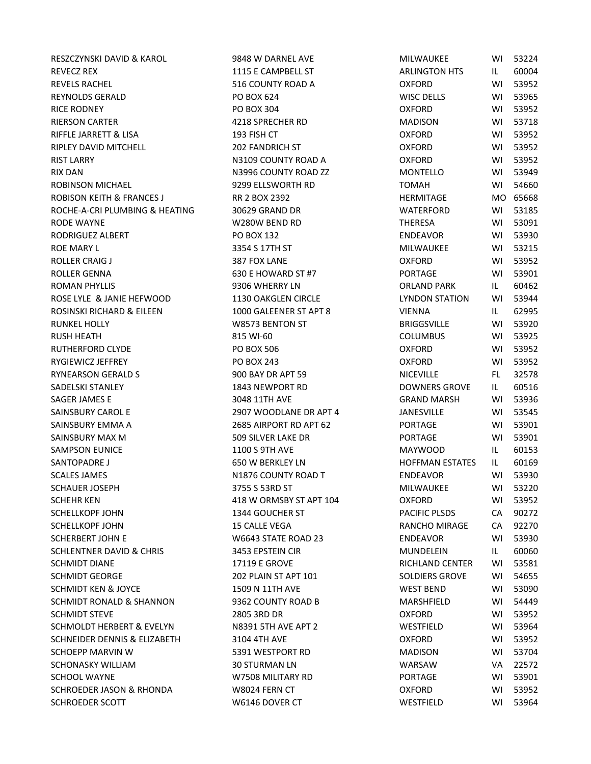RESZCZYNSKI DAVID & KAROL 9848 W DARNEL AVE REVECZ REX 1115 E CAMPBELL ST REVELS RACHEL **1986** S16 COUNTY ROAD A REYNOLDS GERALD PO BOX 624 RICE RODNEY PO BOX 304 OXFORD WI 53952 RIERSON CARTER 4218 SPRECHER RD RIFFLE JARRETT & LISA 193 FISH CT RIPLEY DAVID MITCHELL 202 FANDRICH ST RIST LARRY N3109 COUNTY ROAD A RIX DAN NASARIY ROAD ZZ MONTELLO WISSENS ON NASARIY ROAD ZZ ROBINSON MICHAEL 9299 ELLSWORTH RD ROBISON KEITH & FRANCES J RR 2 BOX 2392 ROCHE-A-CRI PLUMBING & HEATING 30629 GRAND DR RODE WAYNE WIE WORKER WAS MODE WAYNE RODRIGUEZ ALBERT PO BOX 132 ROE MARY LUISSED STREET AND ROE MARY LOTE MARY LOTE STREET AND STREET AND STREET AND STREET AND STREET AND STR ROLLER CRAIG J 387 FOX LANE OXFORD WI 53952 ROLLER GENNA 630 E HOWARD ST #7 ROMAN PHYLLIS 8006 WHERRY LN ROSE LYLE & JANIE HEFWOOD 1130 OAKGLEN CIRCLE ROSINSKI RICHARD & EILEEN 1000 GALEENER ST APT 8 RUNKEL HOLLY W8573 BENTON ST RUSH HEATH 815 WI-60 COLUMBUS WI 53925 RUTHERFORD CLYDE **PO BOX 506** RYGIEWICZ JEFFREY PO BOX 243 RYNEARSON GERALD S 800 BAY DR APT 59 SADELSKI STANLEY 1843 NEWPORT RD SAGER JAMES E 3048 11TH AVE GRAND MARSH WI 53936 SAINSBURY CAROL E 2907 WOODLANE DR APT 4 SAINSBURY EMMA A 2685 AIRPORT RD APT 62 SAINSBURY MAX M 509 SILVER LAKE DR SAMPSON EUNICE 1100 S 9TH AVE SANTOPADRE J 650 W BERKLEY LN SCALES JAMES N1876 COUNTY ROAD T SCHAUER JOSEPH 3755 S 53RD ST SCHEHR KEN 418 W ORMSBY ST APT 104 SCHELLKOPF JOHN 1344 GOUCHER ST SCHELLKOPF JOHN 15 CALLE VEGA SCHERBERT JOHN E W6643 STATE ROAD 23 SCHLENTNER DAVID & CHRIS 3453 EPSTEIN CIR SCHMIDT DIANE 17119 E GROVE RICHLAND CENTER WI 53581 SCHMIDT GEORGE 202 PLAIN ST APT 101 SCHMIDT KEN & JOYCE 1509 N 11TH AVE SCHMIDT RONALD & SHANNON 9362 COUNTY ROAD B SCHMIDT STEVE 2805 3RD DR OXFORD WI 53952 SCHMOLDT HERBERT & EVELYN N8391 5TH AVE APT 2 SCHNEIDER DENNIS & ELIZABETH 3104 4TH AVE SCHOEPP MARVIN W 5391 WESTPORT RD SCHONASKY WILLIAM 30 STURMAN LN SCHOOL WAYNE W7508 MILITARY RD SCHROEDER JASON & RHONDA W8024 FERN CT SCHROEDER SCOTT W6146 DOVER CT

| MILWAUKEE              | WI  | 53224 |
|------------------------|-----|-------|
| <b>ARLINGTON HTS</b>   | IL. | 60004 |
| OXFORD                 | W١  | 53952 |
| WISC DELLS             | W١  | 53965 |
| OXFORD                 | W١  | 53952 |
| <b>MADISON</b>         | WI  | 53718 |
| OXFORD                 | WI  | 53952 |
| OXFORD                 | WI  | 53952 |
| OXFORD                 | WI  | 53952 |
| MONTELLO               | W١  | 53949 |
| TOMAH                  | W١  | 54660 |
| HERMITAGE              | MO. | 65668 |
| WATERFORD              | WI  | 53185 |
| THERESA                | WI  | 53091 |
| ENDEAVOR               | WI  | 53930 |
| MILWAUKEE              | W١  | 53215 |
| OXFORD                 | W١  | 53952 |
| PORTAGE                | WI  | 53901 |
| ORLAND PARK            | IL. | 60462 |
| LYNDON STATION         | WI  | 53944 |
| VIENNA                 | IL. | 62995 |
| BRIGGSVILLE            | WI  | 53920 |
| COLUMBUS               | W١  | 53925 |
| OXFORD                 | WI  | 53952 |
| OXFORD                 | WI  | 53952 |
| NICEVILLE              | FL. | 32578 |
| DOWNERS GROVE          | IL. | 60516 |
| GRAND MARSH            | W١  | 53936 |
| <b>JANESVILLE</b>      | WI  | 53545 |
| PORTAGE                | WI  | 53901 |
| PORTAGE                | W١  | 53901 |
| MAYWOOD                | IL  | 60153 |
| <b>HOFFMAN ESTATES</b> | IL. | 60169 |
| ENDEAVOR               | WI  | 53930 |
| MILWAUKEE              | WI  | 53220 |
| OXFORD                 | WI  | 53952 |
| <b>PACIFIC PLSDS</b>   | CA  | 90272 |
| RANCHO MIRAGE          | CA  | 92270 |
| ENDEAVOR               | W١  | 53930 |
| MUNDELEIN              | IL. | 60060 |
| RICHLAND CENTER        | WI  | 53581 |
| SOLDIERS GROVE         | WI  | 54655 |
| <b>WEST BEND</b>       | WI  | 53090 |
| MARSHFIELD             | WI  | 54449 |
| OXFORD                 | WI  | 53952 |
| WESTFIELD              | WI  | 53964 |
| OXFORD                 | WI  | 53952 |
| <b>MADISON</b>         | WI  | 53704 |
| WARSAW                 | VA  | 22572 |
| PORTAGE                | WI  | 53901 |
| OXFORD                 | WI  | 53952 |
| WESTFIELD              | WI  | 53964 |
|                        |     |       |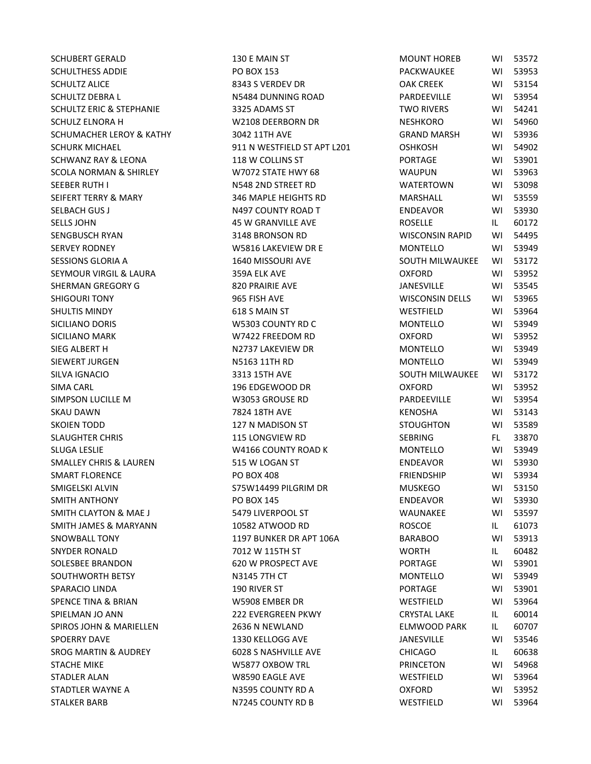| SCHUBERT GERALD                   | 130 E MAIN ST               | <b>MOUNT HOREB</b>     | WI  | 53572 |
|-----------------------------------|-----------------------------|------------------------|-----|-------|
| <b>SCHULTHESS ADDIE</b>           | PO BOX 153                  | PACKWAUKEE             | WI  | 53953 |
| SCHULTZ ALICE                     | 8343 S VERDEV DR            | <b>OAK CREEK</b>       | WI  | 53154 |
| SCHULTZ DEBRA L                   | N5484 DUNNING ROAD          | PARDEEVILLE            | WI  | 53954 |
| SCHULTZ ERIC & STEPHANIE          | 3325 ADAMS ST               | <b>TWO RIVERS</b>      | WI  | 54241 |
| SCHULZ ELNORA H                   | W2108 DEERBORN DR           | <b>NESHKORO</b>        | WI  | 54960 |
| SCHUMACHER LEROY & KATHY          | 3042 11TH AVE               | <b>GRAND MARSH</b>     | WI  | 53936 |
| <b>SCHURK MICHAEL</b>             | 911 N WESTFIELD ST APT L201 | <b>OSHKOSH</b>         | WI  | 54902 |
| SCHWANZ RAY & LEONA               | 118 W COLLINS ST            | PORTAGE                | WI  | 53901 |
| SCOLA NORMAN & SHIRLEY            | W7072 STATE HWY 68          | <b>WAUPUN</b>          | WI  | 53963 |
| SEEBER RUTH I                     | N548 2ND STREET RD          | WATERTOWN              | WI  | 53098 |
| SEIFERT TERRY & MARY              | 346 MAPLE HEIGHTS RD        | MARSHALL               | WI  | 53559 |
| SELBACH GUS J                     | N497 COUNTY ROAD T          | <b>ENDEAVOR</b>        | WI  | 53930 |
| <b>SELLS JOHN</b>                 | <b>45 W GRANVILLE AVE</b>   | <b>ROSELLE</b>         | IL  | 60172 |
| SENGBUSCH RYAN                    | 3148 BRONSON RD             | <b>WISCONSIN RAPID</b> | WI  | 54495 |
| <b>SERVEY RODNEY</b>              | W5816 LAKEVIEW DR E         | MONTELLO               | WI  | 53949 |
| SESSIONS GLORIA A                 | 1640 MISSOURI AVE           | SOUTH MILWAUKEE        | WI  | 53172 |
| SEYMOUR VIRGIL & LAURA            | 359A ELK AVE                | <b>OXFORD</b>          | WI  | 53952 |
| SHERMAN GREGORY G                 | 820 PRAIRIE AVE             | <b>JANESVILLE</b>      | WI  | 53545 |
| <b>SHIGOURI TONY</b>              | 965 FISH AVE                | <b>WISCONSIN DELLS</b> | WI  | 53965 |
| <b>SHULTIS MINDY</b>              | 618 S MAIN ST               | WESTFIELD              | WI  | 53964 |
| SICILIANO DORIS                   | W5303 COUNTY RD C           | <b>MONTELLO</b>        | WI  | 53949 |
| SICILIANO MARK                    | W7422 FREEDOM RD            | <b>OXFORD</b>          | WI  | 53952 |
| SIEG ALBERT H                     | N2737 LAKEVIEW DR           | MONTELLO               | WI  | 53949 |
| SIEWERT JURGEN                    | N5163 11TH RD               | <b>MONTELLO</b>        | WI  | 53949 |
| SILVA IGNACIO                     | 3313 15TH AVE               | SOUTH MILWAUKEE        | WI  | 53172 |
| SIMA CARL                         | 196 EDGEWOOD DR             | <b>OXFORD</b>          | WI  | 53952 |
| SIMPSON LUCILLE M                 | W3053 GROUSE RD             | PARDEEVILLE            | WI  | 53954 |
| <b>SKAU DAWN</b>                  | 7824 18TH AVE               | KENOSHA                | WI  | 53143 |
| SKOIEN TODD                       | 127 N MADISON ST            | <b>STOUGHTON</b>       | WI  | 53589 |
| <b>SLAUGHTER CHRIS</b>            | <b>115 LONGVIEW RD</b>      | <b>SEBRING</b>         | FL. | 33870 |
| SLUGA LESLIE                      | W4166 COUNTY ROAD K         | <b>MONTELLO</b>        | WI  | 53949 |
| <b>SMALLEY CHRIS &amp; LAUREN</b> | 515 W LOGAN ST              | <b>ENDEAVOR</b>        | WI  | 53930 |
| <b>SMART FLORENCE</b>             | <b>PO BOX 408</b>           | <b>FRIENDSHIP</b>      | WI  | 53934 |
| SMIGELSKI ALVIN                   | S75W14499 PILGRIM DR        | <b>MUSKEGO</b>         | WI  | 53150 |
| <b>SMITH ANTHONY</b>              | PO BOX 145                  | <b>ENDEAVOR</b>        | WI  | 53930 |
| SMITH CLAYTON & MAE J             | 5479 LIVERPOOL ST           | WAUNAKEE               | WI. | 53597 |
| SMITH JAMES & MARYANN             | 10582 ATWOOD RD             | <b>ROSCOE</b>          | IL. | 61073 |
| <b>SNOWBALL TONY</b>              | 1197 BUNKER DR APT 106A     | <b>BARABOO</b>         | WI  | 53913 |
| SNYDER RONALD                     | 7012 W 115TH ST             | <b>WORTH</b>           | IL. | 60482 |
| SOLESBEE BRANDON                  | 620 W PROSPECT AVE          | <b>PORTAGE</b>         | WI  | 53901 |
| SOUTHWORTH BETSY                  | <b>N3145 7TH CT</b>         | MONTELLO               | WI  | 53949 |
| SPARACIO LINDA                    | 190 RIVER ST                | <b>PORTAGE</b>         | WI  | 53901 |
| SPENCE TINA & BRIAN               | W5908 EMBER DR              | WESTFIELD              | WI  | 53964 |
| SPIELMAN JO ANN                   | <b>222 EVERGREEN PKWY</b>   | <b>CRYSTAL LAKE</b>    | IL. | 60014 |
| SPIROS JOHN & MARIELLEN           | 2636 N NEWLAND              | <b>ELMWOOD PARK</b>    | IL. | 60707 |
| <b>SPOERRY DAVE</b>               | 1330 KELLOGG AVE            | <b>JANESVILLE</b>      | WI  | 53546 |
| <b>SROG MARTIN &amp; AUDREY</b>   | <b>6028 S NASHVILLE AVE</b> | <b>CHICAGO</b>         | IL. | 60638 |
| STACHE MIKE                       | W5877 OXBOW TRL             | <b>PRINCETON</b>       | WI  | 54968 |
| STADLER ALAN                      | W8590 EAGLE AVE             | WESTFIELD              | WI  | 53964 |
| STADTLER WAYNE A                  | N3595 COUNTY RD A           | <b>OXFORD</b>          | WI  | 53952 |
| STALKER BARB                      | N7245 COUNTY RD B           | WESTFIELD              | WI  | 53964 |
|                                   |                             |                        |     |       |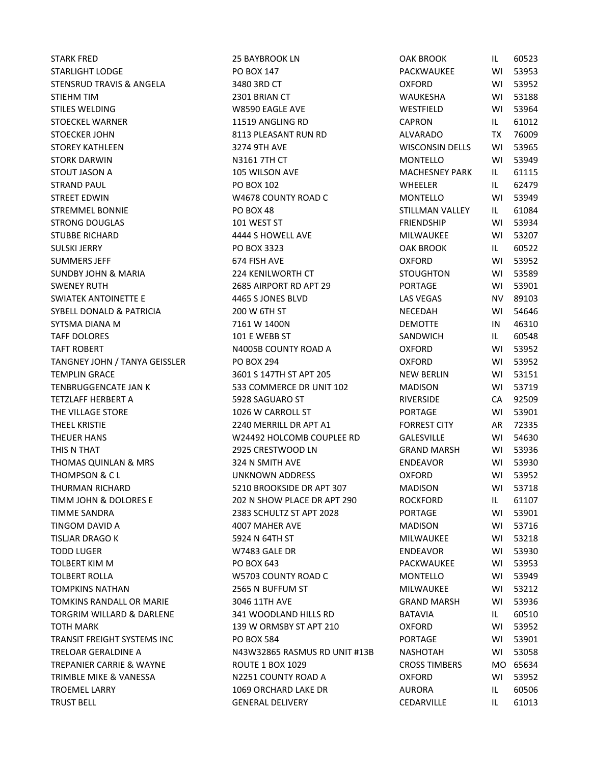STARK FRED 25 BAYBROOK LN O STARLIGHT LODGE PO BOX 147 STENSRUD TRAVIS & ANGELA 3480 3RD CT CONFORM CONFORM CONFORM CONFORM STENSING WITH STENDARD CONFORM CONFORM CO STIEHM TIM GENERAL CONSULTERING THE 2301 BRIAN CT THE MANUSCRIPT OF MANUSCRIPT WHEN THE MANUSCRIPT OF MANUSCRIPT OF MANUSCRIPT OF MANUSCRIPT OF MANUSCRIPT OF MANUSCRIPT OF MANUSCRIPT OF MANUSCRIPT OF MANUSCRIPT OF MANUSCRI STILES WELDING WAS MOVING WAS SAFEKEEPING WITH MINOR WITH MINOR WITH MINOR WITH MINOR WITH MINOR WITH MINOR WI STOECKEL WARNER **11519 ANGLING RD** C. STOECKER JOHN 6113 PLEASANT RUN RD 6113 PLEASANT RUN RD STOREY KATHLEEN 3274 9TH AVE WISCONSIN DELLS WI 53965 STORK DARWIN N3161 7TH CT STOUT JASON A 105 WILSON AVE MACHESNEY PARK ILLES AND A 105 WILSON AVE STRAND PAUL PO BOX 102 WHEELER IL 62479 STREET EDWIN GENERAL MONTELLO WAS COUNTY ROAD CONTRACTED MANUSCRIPT ON A MONTELLO MONTELLO MONTELLO MONTELLO M STREMMEL BONNIE SALLEY IN PO BOX 48 STRONG DOUGLAS FRIENDSHIP WINDOW STRONG DOUGLAS STUBBE RICHARD 6 1 2444 S HOWELL AVE MILLONE AND MILLONE MILLONE WITH STUBBE RICHARD SULSKI JERRY PO BOX 3323 OAK BROOK IL 60522 SUMMERS JEFF 674 FISH AVE OXFORD WI 53952 SUNDBY JOHN & MARIA 224 KENILWORTH CT SWENEY RUTH 2685 AIRPORT RD APT 29 SWIATEK ANTOINETTE E COMPOSITION AND 4465 S JONES BLVD SYBELL DONALD & PATRICIA 200 W 6TH ST NECESSARY NECESSARY OF A MARKET AND A MARKET NECESSARY OF A MARKET OF A MA SYTSMA DIANA M 7161 W 1400N DEMOTTE IN 46310 TAFF DOLORES 101 E WEBB ST SANDWICH IL 60548 TAFT ROBERT NAMEL ON A STATE OF THE ROBERT ON A COUNTY ROAD A COUNTY ROAD A COUNTY ROAD A COUNTY OF THE STATE O TANGNEY JOHN / TANYA GEISSLER PO BOX 294 OXFORD WI 5395294 TEMPLIN GRACE THE 3601 S 147TH ST APT 205 TENBRUGGENCATE JAN K 533 COMMERCE DR UNIT 102 MADISON WI TETZLAFF HERBERT A SANTO THE SOLO SAGUARO ST SANTO CA 928 SAGUARO ST SANTO CA 928 SAGUARO ST THE VILLAGE STORE THE VILLAGE STORE THE VILLAGE STORE THE VILLAGE STORE THE VILLAGE STORE THE STORE THE STORE T THEEL KRISTIE THEEL KRISTIE THEEL ARE 7240 MERRILL DR APT A1 THEUER HANS GALES AND THEUER HANS GALES ON THEUER HANS GALES ON THE WILL ASSESS TO LCCUPLE AND THE GALES OF THE THIS N THAT **EXECUTE 12925 CRESTWOOD LN** G THOMAS QUINLAN & MRS 6324 N SMITH AVE THOMPSON & C L CONTROL UNKNOWN ADDRESS CONTROL OF CONTROL ORDER ON THE OXFORD WITH SAFETY AND THE OXFORD WITH ST THURMAN RICHARD 6210 BROOKSIDE DR APT 307 TIMM JOHN & DOLORES E 202 N SHOW PLACE DR APT 290 ROCKFORD IN 1999 TIMME SANDRA 2383 SCHULTZ ST APT 2028 PORTAGE WI 53901 TINGOM DAVID A 4007 MAHER AVE MADISON DAVID A TISLJAR DRAGO K 5924 N 64TH ST MILWAUKEE WI 53218 TODD LUGER TODD ENDER TODD TO MAXIMUM SALE DR ENDER TO BE SEEN TO BE SEEN TO BE SEEN TO BE SEEN TO BE SEEN TO BE SEEN TO BE SEEN TO BE SEEN TO BE SEEN TO BE SEEN TO BE SEEN TO BE SEEN TO BE SEEN TO BE SEEN TO BE SEEN TO BE TOLBERT KIM M PO BOX 643 PACKWAUKEE WI 53953 TOLBERT ROLLA **COUNTY ROAD COUNTY ROAD COUNTY ROAD COUNTY** ROAD COUNTY ROAD COUNTY ROAD COUNTY ROAD COUNTY ROAD COUNTY ROAD COUNTY ROAD COUNTY ROAD COUNTY ROAD COUNTY ROAD COUNTY ROAD COUNTY ROAD COUNTY ROAD COUNTY ROAD CO TOMPKINS NATHAN 2565 N BUFFUM ST MILLWAUKEE WI TOMKINS RANDALL OR MARIE 3046 11TH AVE GRAND GRAND GRAND MARIE TORGRIM WILLARD & DARLENE 341 WOODLAND HILLS RD TOTH MARK 139 W ORMSBY ST APT 210 TRANSIT FREIGHT SYSTEMS INC PO BOX 584 PORTAGE WI 53901 TRELOAR GERALDINE A N43W32865 RASMUS RD UNIT #13B N TREPANIER CARRIE & WAYNE **ROUTE 1 BOX 1029** C TRIMBLE MIKE & VANESSA N2251 COUNTY ROAD A O TROEMEL LARRY TROEMEL ARRY AURORA IN 1069 ORCHARD LAKE DR TRUST BELL GENERAL DELIVERY CONTROLLERY CONTROLLERY

| <b>JAK BROOK</b>             | IL.       | 60523    |
|------------------------------|-----------|----------|
| ACKWAUKEE                    | WI        | 53953    |
| )XFORD                       | W١        | 53952    |
| VAUKESHA                     | WI        | 53188    |
| VESTFIELD                    | WI        | 53964    |
| APRON                        | IL.       | 61012    |
| LVARADO                      | <b>TX</b> | 76009    |
| VISCONSIN DELLS              | W١        | 53965    |
| 1ONTELLO                     | WI        | 53949    |
| <b><i>AACHESNEY PARK</i></b> | IL        | 61115    |
| VHEELER                      | IL.       | 62479    |
| 1ONTELLO                     | WI        | 53949    |
| TILLMAN VALLEY               | IL.       | 61084    |
| RIENDSHIP                    | WI        | 53934    |
| <b><i>AILWAUKEE</i></b>      | WI        | 53207    |
| <b>JAK BROOK</b>             | IL.       | 60522    |
| )XFORD                       | WI        | 53952    |
| <b>TOUGHTON</b>              | WI        | 53589    |
| ORTAGE                       | WI        | 53901    |
| AS VEGAS                     | NV.       | 89103    |
| IECEDAH                      | WI        | 54646    |
| <b>EMOTTE</b>                | IN        | 46310    |
| ANDWICH                      | IL.       | 60548    |
| )XFORD                       | WI        | 53952    |
| <b>XFORD</b>                 | WI        | 53952    |
| <b>IEW BERLIN</b>            | WI        | 53151    |
| <b>AADISON</b>               | WI        | 53719    |
| IVERSIDE                     | CA        | 92509    |
| ORTAGE                       | WI        | 53901    |
| ORREST CITY                  | AR        | 72335    |
| <b>ALESVILLE</b>             | WI        | 54630    |
| <b>RAND MARSH</b>            | WI        | 53936    |
| <b>NDEAVOR</b>               | WI        | 53930    |
| <b>XFORD</b>                 | WI        | 53952    |
| <b>ADISON</b>                | WI        | 53718    |
| OCKFORD                      | IL.       | 61107    |
| ORTAGE                       | WI        | 53901    |
| 1ADISON                      | W١        | 53716    |
| <b><i>AILWAUKEE</i></b>      | WI        | 53218    |
| <b>NDEAVOR</b>               | WI        | 53930    |
| <b>ACKWAUKEE</b>             | WI        | 53953    |
| 1ONTELLO                     | WI        | 53949    |
| <b><i>AILWAUKEE</i></b>      | WI        | 53212    |
| <b>RAND MARSH</b>            | WI        | 53936    |
| <b>ATAVIA</b>                | IL.       | 60510    |
| )XFORD                       | WI        | 53952    |
| ORTAGE                       | WI        | 53901    |
| <b>IASHOTAH</b>              | W١        | 53058    |
| <b>ROSS TIMBERS</b>          |           | MO 65634 |
| )XFORD                       |           | WI 53952 |
| URORA                        | IL.       | 60506    |
| EDARVILLE                    | IL.       | 61013    |
|                              |           |          |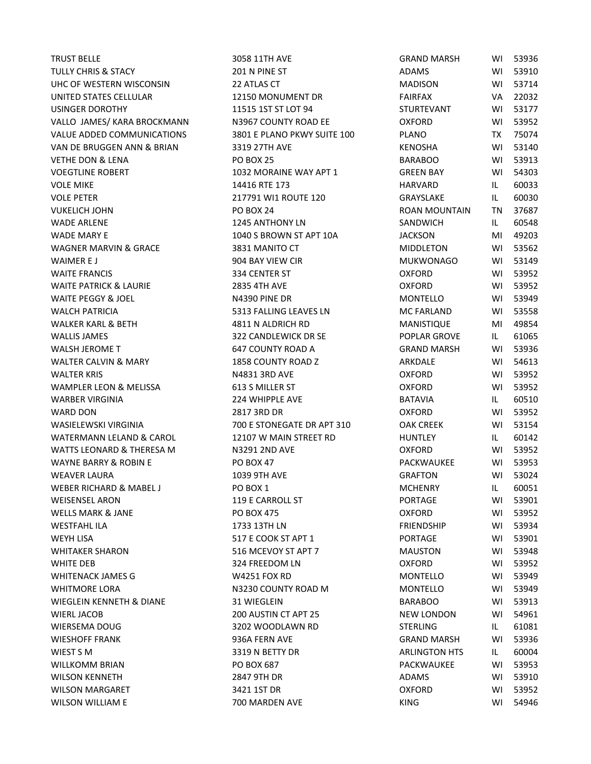TRUST BELLE 3058 11TH AVE GRAND MARSH WI 53936 TULLY CHRIS & STACY ADAMS 201 N PINE ST UHC OF WESTERN WISCONSIN 22 ATLAS CT ADDISON WISCONSIN UNITED STATES CELLULAR THE RESERVED ON A 22150 MONUMENT DR FAIRFAX VALUE USINGER DOROTHY THE STATE STATE OF THE STATE OF STATE STATE OF STATE STATE STATE STATE STATE STATE STATE STATE STATE STATE STATE STATE STATE STATE STATE STATE STATE STATE STATE STATE STATE STATE STATE STATE STATE STATE STA VALLO JAMES/ KARA BROCKMANN N3967 COUNTY ROAD EE OXFORD TO A COUNTY AND HE VALUE ADDED COMMUNICATIONS 3801 E PLANO PKWY SUITE 100 P VAN DE BRUGGEN ANN & BRIAN 3319 27TH AVE KENNOSHA WI 5319 27TH AVE VETHE DON & LENA PO BOX 25 BARABOO WI 539134 BARABOO WI 539134 BARABOO WI 539134 BARABOO WI 539134 BARABOO WI 539134 VOEGTLINE ROBERT THE STATE ROBERT THE STATE OF STATE ROBERT AND THE STATE OF STATE BAY APT 1 VOLE MIKE THE 174416 RTE 173 VOLE PETER 217791 WI1 ROUTE 120 GRAYSLAKE IL 60030 VUKELICH JOHN ROAN MOUNTAIN PO BOX 24 WADE ARLENE 1245 ANTHONY LN SANDE ARLENE WADE MARY E 1040 S BROWN ST APT 10A JACKSON MARY E WAGNER MARVIN & GRACE 3831 MANITO CT NARRY IN A WAIMER E J 904 BAY VIEW CIR MUKWONAGO WI 53149 WAITE FRANCIS 334 CENTER ST OXFORD WI 53952 WAITE PATRICK & LAURIE 2835 4TH AVE ON THE PATRICK & LAURIE WAITE PEGGY & JOEL NA390 PINE DR MONTELLO WINDOW NO MONTELLO WILL A WALCH PATRICIA FALLING LEAVES LN MALCH PATRICIA WALKER KARL & BETH 4811 N ALDRICH RD MANISTIC WALLIS JAMES 322 CANDLEWICK DR SE POPLAR GROVE IL 61065 WALSH JEROME T GAT COUNTY ROAD A GAT COUNTY ROAD A GRAND MARSH WINDOW SAND MARSH WITH THE GRAND MARSH WITH SAND WALTER CALVIN & MARY **1858 COUNTY ROAD Z** ARK ARK ARK ARK WALTER KRIS CONTROL CONTROL IN THE NARRY ON A NARRY ON A NARRY ON THE OXFORD WILL CONTROL ON A NARRY ON THE OXFORD WILL CONTROL ON THE OXFORD WILL CONTROL ON A SAME OF THE OXFORD WILL CONTROL ON THE OXFORD WILL CONTROL ON WAMPLER LEON & MELISSA 613 S MILLER ST COMMENTS CONSIDER LEON & MELISSA WARBER VIRGINIA 224 WHIPPLE AVE BATAVIA IL 60510 WARD DON 2817 3RD DR OXFORD WI 53952 WASIELEWSKI VIRGINIA 6 TOO E STONEGATE DR APT 310 WATERMANN LELAND & CAROL 12107 W MAIN STREET RD WATTS LEONARD & THERESA M N3291 2ND AVE NAME WAYNE BARRY & ROBIN E PO BOX 47 PACKWAUKEE PACKWAUKEE WITH SAFEKWAUKEE PACKWAUKEE WITH SAFEKWAUKEE PACKWAUKEE WI WEAVER LAURA 1039 9TH AVE GRAFTON WI 53024 WEBER RICHARD & MABEL J PO BOX 1 MCHENRY IN 60051 WEISENSEL ARON FOR THE STATE OF THE STATE OF THE STATE WITH STATE WITH STATE OF THE STATE WITH STATE OF THE STATE OF THE STATE OF THE STATE OF THE STATE OF THE STATE OF THE STATE OF THE STATE OF THE STATE OF THE STATE OF T WELLS MARK & JANE **PO BOX 475** OXFORD WILLS MARK & JANE WESTFAHL ILA 1733 13TH LN FRIENDSHIP WI 53934 WEYH LISA FOR THE STATE COOK ST APT 1 WHITAKER SHARON 616 MAUSTON ST APT 7 MAUST APT 7 WHITE DEB COMMUNIC CONFORMED BY SAFE BOOM LN WHITENACK JAMES G W4251 FOX RD MONTELLO WI 53949 WHITMORE LORA **N3230 COUNTY ROAD M** MONTELLO WITMORE WIEGLEIN KENNETH & DIANE 31 WIEGLEIN BARAGO WIEGLEIN WIERL JACOB 200 AUSTIN CT APT 25 WIERSEMA DOUG SALL AND STERLING IN A STEAM OF THE STEAM STERLING IN A STEAM OF STEAM OF STEAM STEAM OF STEAM OF STEAM STEAM STEAM STEAM STEAM STEAM STEAM STEAM STEAM STEAM STEAM STEAM STEAM STEAM STEAM STEAM STEAM STEAM ST WIESHOFF FRANK GRAND MARSH WIESHOFF FRANK GRAND MARSH WIN 53936A FERN AVE WIEST S M ARRIVE OF THE STATE OF STATE ASSAULT AND THE STATE OF THE STATE OF THE STATE OF THE STATE OF THE STATE OF THE STATE OF THE STATE OF THE STATE OF THE STATE OF THE STATE OF THE STATE OF THE STATE OF THE STATE OF TH WILLKOMM BRIAN PO BOX 687 PACKWAUKEE WILLKOMM BRIAN WILSON KENNETH ADAMS 2847 9TH DR WILSON MARGARET **3421 1ST DR** OXFORD WILSON MARGARET WILSON WILLIAM E **1999 FOU 54946 FOU 54946 WILSON WILLIAM E** 64446 FOU 54946 FOU 54946 FOU 54946 FOU 54946 FOU 54946

| <b>RAND MARSH</b>       | WI        | 53936 |
|-------------------------|-----------|-------|
| DAMS                    | WI        | 53910 |
| <b>AADISON</b>          | W١        | 53714 |
| <b>AIRFAX</b>           | VA.       | 22032 |
| <b>TURTEVANT</b>        | WI        | 53177 |
| <b>XFORD</b>            | WI        | 53952 |
| 'LANO                   | <b>TX</b> | 75074 |
| <b>ENOSHA</b>           | W١        | 53140 |
| ARABOO                  | WI        | 53913 |
| <b>REEN BAY</b>         | WI        | 54303 |
| <b>IARVARD</b>          | IL        | 60033 |
| <b>GRAYSLAKE</b>        | IL.       | 60030 |
| OAN MOUNTAIN            | <b>TN</b> | 37687 |
| ANDWICH                 | IL.       | 60548 |
| ACKSON                  | MI        | 49203 |
| <b><i>IIDDLETON</i></b> | WI        | 53562 |
| <b><i>AUKWONAGO</i></b> | WI        | 53149 |
| <b>XFORD</b>            | WI        | 53952 |
| )XFORD                  | WI        | 53952 |
| <b><i>AONTELLO</i></b>  | W١        | 53949 |
| <b>AC FARLAND</b>       | WL        | 53558 |
| AANISTIQUE              | MI        | 49854 |
| <b>OPLAR GROVE</b>      | IL.       | 61065 |
| <b>RAND MARSH</b>       | WI        | 53936 |
| <b>RKDALE</b>           | W١        | 54613 |
| <b>XFORD</b>            | WI        | 53952 |
| <b>XFORD</b>            | WI        | 53952 |
| <b>ATAVIA</b>           | IL.       | 60510 |
| )XFORD                  | WI        | 53952 |
| <b>AK CREEK</b>         | WI        | 53154 |
| <b>IUNTLEY</b>          | IL.       | 60142 |
| <b>XFORD</b>            | WI        | 53952 |
| <b>ACKWAUKEE</b>        | WI        | 53953 |
| <b>RAFTON</b>           | WI        | 53024 |
| <b>ACHENRY</b>          | IL        | 60051 |
| ORTAGE                  | W١        | 53901 |
| )XFORD                  | W١        | 53952 |
| <b>RIENDSHIP</b>        | W١        | 53934 |
| ORTAGE                  | WI        | 53901 |
| <b>AAUSTON</b>          | WI        | 53948 |
| )XFORD                  | WI        | 53952 |
| <i><b>IONTELLO</b></i>  | W١        | 53949 |
| <b>MONTELLO</b>         | WI        | 53949 |
| ARABOO                  | WI        | 53913 |
| <b>IEW LONDON</b>       | WI        | 54961 |
| <b>TERLING</b>          | IL.       | 61081 |
| RAND MARSH              | WI        | 53936 |
| RLINGTON HTS،           | IL.       | 60004 |
| <b>ACKWAUKEE</b>        | WI        | 53953 |
| <b>DAMS</b>             | WI        | 53910 |
| )XFORD                  | WI        | 53952 |
| ING                     | WI        | 54946 |